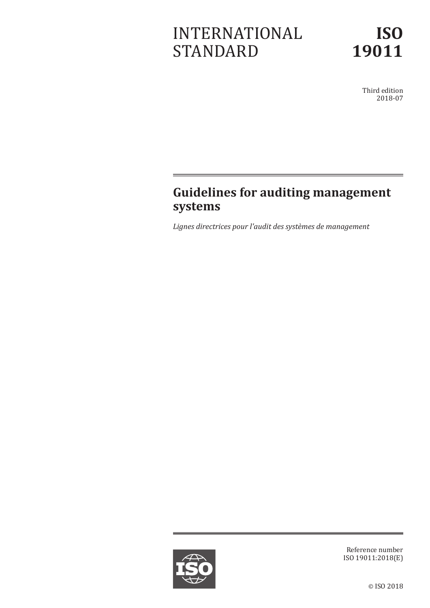# INTERNATIONAL STANDARD

Third edition 2018-07

# **Guidelines for auditing management systems**

*Lignes directrices pour l'audit des systèmes de management*



Reference number ISO 19011:2018(E)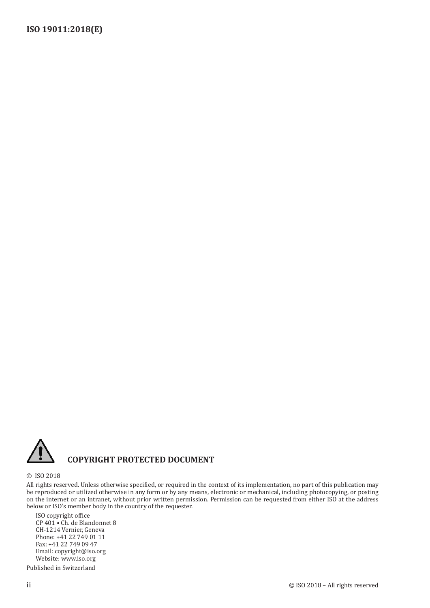

# **COPYRIGHT PROTECTED DOCUMENT**

#### © ISO 2018

All rights reserved. Unless otherwise specified, or required in the context of its implementation, no part of this publication may be reproduced or utilized otherwise in any form or by any means, electronic or mechanical, including photocopying, or posting on the internet or an intranet, without prior written permission. Permission can be requested from either ISO at the address below or ISO's member body in the country of the requester.

ISO copyright office CP 401 • Ch. de Blandonnet 8 CH-1214 Vernier, Geneva Phone: +41 22 749 01 11 Fax: +41 22 749 09 47 Email: copyright@iso.org Website: www.iso.org

Published in Switzerland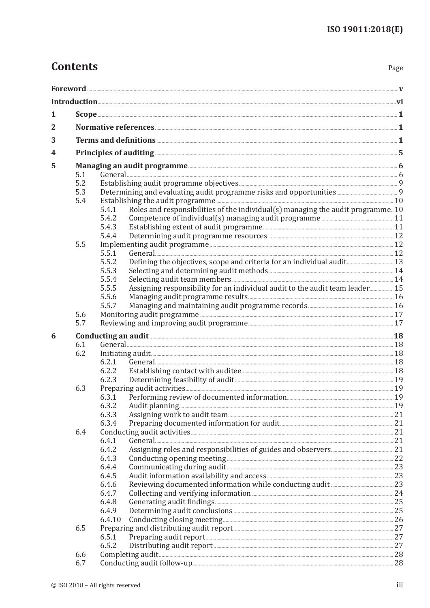# **Contents**

Page

| 1 |     | $Scope \underline{\hspace{1cm}} 1$                                                        |  |  |  |
|---|-----|-------------------------------------------------------------------------------------------|--|--|--|
| 2 |     |                                                                                           |  |  |  |
| 3 |     |                                                                                           |  |  |  |
| 4 |     |                                                                                           |  |  |  |
|   |     |                                                                                           |  |  |  |
| 5 | 5.1 |                                                                                           |  |  |  |
|   | 5.2 |                                                                                           |  |  |  |
|   | 5.3 |                                                                                           |  |  |  |
|   | 5.4 |                                                                                           |  |  |  |
|   |     | Roles and responsibilities of the individual(s) managing the audit programme. 10<br>5.4.1 |  |  |  |
|   |     | 5.4.2                                                                                     |  |  |  |
|   |     | 5.4.3                                                                                     |  |  |  |
|   |     | 5.4.4                                                                                     |  |  |  |
|   | 5.5 |                                                                                           |  |  |  |
|   |     | 5.5.1                                                                                     |  |  |  |
|   |     | 5.5.2                                                                                     |  |  |  |
|   |     | 5.5.3                                                                                     |  |  |  |
|   |     | 5.5.4                                                                                     |  |  |  |
|   |     | Assigning responsibility for an individual audit to the audit team leader 15<br>5.5.5     |  |  |  |
|   |     | 5.5.6                                                                                     |  |  |  |
|   | 5.6 | 5.5.7                                                                                     |  |  |  |
|   | 5.7 |                                                                                           |  |  |  |
|   |     |                                                                                           |  |  |  |
| 6 | 6.1 | Conducting an audit <b>Election</b> 28                                                    |  |  |  |
|   | 6.2 |                                                                                           |  |  |  |
|   |     | 6.2.1                                                                                     |  |  |  |
|   |     | 6.2.2                                                                                     |  |  |  |
|   |     | 6.2.3                                                                                     |  |  |  |
|   | 6.3 |                                                                                           |  |  |  |
|   |     | 6.3.1                                                                                     |  |  |  |
|   |     |                                                                                           |  |  |  |
|   |     | 6.3.3                                                                                     |  |  |  |
|   |     | 6.3.4                                                                                     |  |  |  |
|   | 6.4 |                                                                                           |  |  |  |
|   |     | 6.4.1                                                                                     |  |  |  |
|   |     | 6.4.2                                                                                     |  |  |  |
|   |     | 6.4.3<br>Conducting opening meeting <b>Exercise Conducting</b> opening 22                 |  |  |  |
|   |     | 6.4.4                                                                                     |  |  |  |
|   |     | 6.4.5                                                                                     |  |  |  |
|   |     | 6.4.6                                                                                     |  |  |  |
|   |     | 6.4.7<br>6.4.8                                                                            |  |  |  |
|   |     | 6.4.9                                                                                     |  |  |  |
|   |     | 6.4.10                                                                                    |  |  |  |
|   | 6.5 |                                                                                           |  |  |  |
|   |     | 6.5.1                                                                                     |  |  |  |
|   |     | 6.5.2                                                                                     |  |  |  |
|   | 6.6 |                                                                                           |  |  |  |
|   | 6.7 |                                                                                           |  |  |  |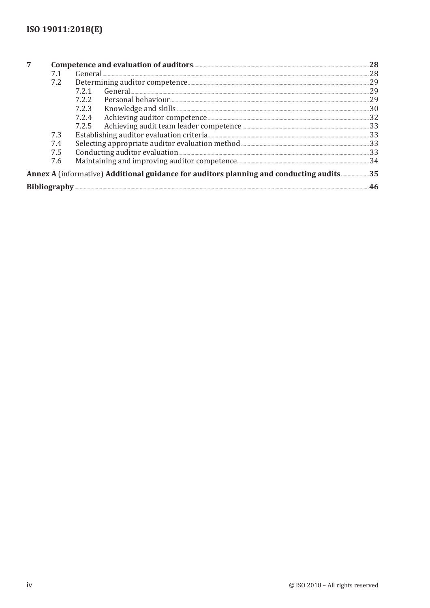| 7 |     |                                                                                         |     |
|---|-----|-----------------------------------------------------------------------------------------|-----|
|   | 7.1 |                                                                                         | 28  |
|   | 7.2 |                                                                                         | 29  |
|   |     | 7.2.1                                                                                   | 29  |
|   |     | 7.2.2                                                                                   | 29  |
|   |     |                                                                                         | .30 |
|   |     | 7.2.4                                                                                   |     |
|   |     |                                                                                         |     |
|   | 7.3 |                                                                                         | .33 |
|   | 7.4 |                                                                                         |     |
|   | 7.5 |                                                                                         | .33 |
|   | 7.6 |                                                                                         |     |
|   |     | Annex A (informative) Additional guidance for auditors planning and conducting audits35 |     |
|   |     |                                                                                         |     |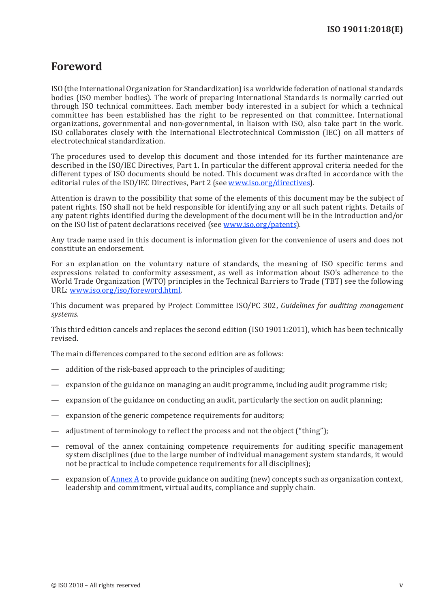# <span id="page-4-0"></span>**Foreword**

ISO (the International Organization for Standardization) is a worldwide federation of national standards bodies (ISO member bodies). The work of preparing International Standards is normally carried out through ISO technical committees. Each member body interested in a subject for which a technical committee has been established has the right to be represented on that committee. International organizations, governmental and non-governmental, in liaison with ISO, also take part in the work. ISO collaborates closely with the International Electrotechnical Commission (IEC) on all matters of electrotechnical standardization.

The procedures used to develop this document and those intended for its further maintenance are described in the ISO/IEC Directives, Part 1. In particular the different approval criteria needed for the different types of ISO documents should be noted. This document was drafted in accordance with the editorial rules of the ISO/IEC Directives, Part 2 (see [www.iso.org/directives\)](https://www.iso.org/directives-and-policies.html).

Attention is drawn to the possibility that some of the elements of this document may be the subject of patent rights. ISO shall not be held responsible for identifying any or all such patent rights. Details of any patent rights identified during the development of the document will be in the Introduction and/or on the ISO list of patent declarations received (see www.iso[.org/patents](https://www.iso.org/patents)).

Any trade name used in this document is information given for the convenience of users and does not constitute an endorsement.

For an explanation on the voluntary nature of standards, the meaning of ISO specific terms and expressions related to conformity assessment, as well as information about ISO's adherence to the World Trade Organization (WTO) principles in the Technical Barriers to Trade (TBT) see the following URL: [www.iso.org/iso/foreword.html](https://www.iso.org/iso/foreword.html).

This document was prepared by Project Committee ISO/PC 302, *Guidelines for auditing management systems*.

This third edition cancels and replaces the second edition (ISO 19011:2011), which has been technically revised.

The main differences compared to the second edition are as follows:

- addition of the risk-based approach to the principles of auditing;
- expansion of the guidance on managing an audit programme, including audit programme risk;
- expansion of the guidance on conducting an audit, particularly the section on audit planning;
- expansion of the generic competence requirements for auditors;
- adjustment of terminology to reflect the process and not the object ("thing");
- removal of the annex containing competence requirements for auditing specific management system disciplines (due to the large number of individual management system standards, it would not be practical to include competence requirements for all disciplines);
- expansion of [Annex](#page-42-1) A to provide guidance on auditing (new) concepts such as organization context, leadership and commitment, virtual audits, compliance and supply chain.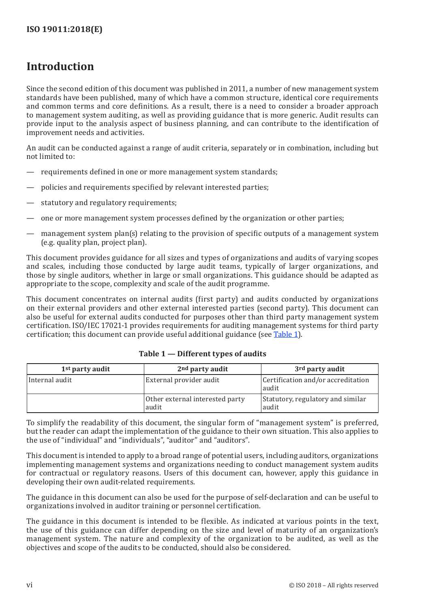# <span id="page-5-0"></span>**Introduction**

Since the second edition of this document was published in 2011, a number of new management system standards have been published, many of which have a common structure, identical core requirements and common terms and core definitions. As a result, there is a need to consider a broader approach to management system auditing, as well as providing guidance that is more generic. Audit results can provide input to the analysis aspect of business planning, and can contribute to the identification of improvement needs and activities.

An audit can be conducted against a range of audit criteria, separately or in combination, including but not limited to:

- requirements defined in one or more management system standards;
- policies and requirements specified by relevant interested parties;
- statutory and regulatory requirements;
- one or more management system processes defined by the organization or other parties;
- management system plan(s) relating to the provision of specific outputs of a management system (e.g. quality plan, project plan).

This document provides guidance for all sizes and types of organizations and audits of varying scopes and scales, including those conducted by large audit teams, typically of larger organizations, and those by single auditors, whether in large or small organizations. This guidance should be adapted as appropriate to the scope, complexity and scale of the audit programme.

This document concentrates on internal audits (first party) and audits conducted by organizations on their external providers and other external interested parties (second party). This document can also be useful for external audits conducted for purposes other than third party management system certification. ISO/IEC 17021-1 provides requirements for auditing management systems for third party certification; this document can provide useful additional guidance (see [Table](#page-5-1) 1).

| 1 <sup>st</sup> party audit | 2 <sup>nd</sup> party audit              | 3 <sup>rd</sup> party audit                  |
|-----------------------------|------------------------------------------|----------------------------------------------|
| Internal audit              | External provider audit                  | Certification and/or accreditation<br> audit |
|                             | Other external interested party<br>audit | Statutory, regulatory and similar<br>audit   |

## <span id="page-5-1"></span>**Table 1 — Different types of audits**

To simplify the readability of this document, the singular form of "management system" is preferred, but the reader can adapt the implementation of the guidance to their own situation. This also applies to the use of "individual" and "individuals", "auditor" and "auditors".

This document is intended to apply to a broad range of potential users, including auditors, organizations implementing management systems and organizations needing to conduct management system audits for contractual or regulatory reasons. Users of this document can, however, apply this guidance in developing their own audit-related requirements.

The guidance in this document can also be used for the purpose of self-declaration and can be useful to organizations involved in auditor training or personnel certification.

The guidance in this document is intended to be flexible. As indicated at various points in the text, the use of this guidance can differ depending on the size and level of maturity of an organization's management system. The nature and complexity of the organization to be audited, as well as the objectives and scope of the audits to be conducted, should also be considered.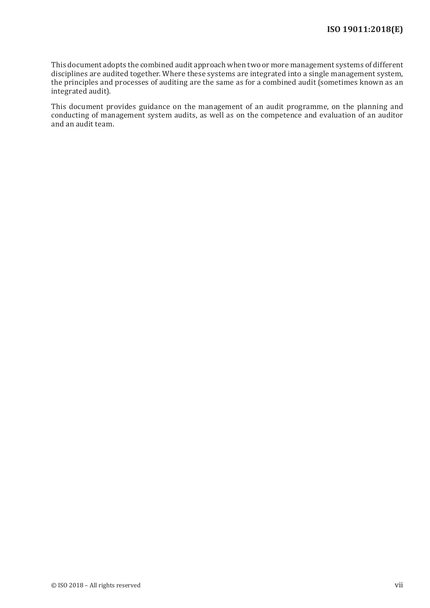This document adopts the combined audit approach when two or more management systems of different disciplines are audited together. Where these systems are integrated into a single management system, the principles and processes of auditing are the same as for a combined audit (sometimes known as an integrated audit).

This document provides guidance on the management of an audit programme, on the planning and conducting of management system audits, as well as on the competence and evaluation of an auditor and an audit team.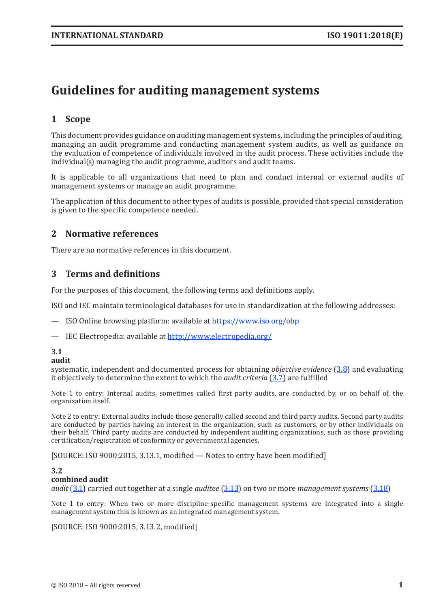# <span id="page-8-0"></span>**Guidelines for auditing management systems**

# **1 Scope**

This document provides guidance on auditing management systems, including the principles of auditing, managing an audit programme and conducting management system audits, as well as guidance on the evaluation of competence of individuals involved in the audit process. These activities include the individual(s) managing the audit programme, auditors and audit teams.

It is applicable to all organizations that need to plan and conduct internal or external audits of management systems or manage an audit programme.

The application of this document to other types of audits is possible, provided that special consideration is given to the specific competence needed.

# **2 Normative references**

There are no normative references in this document.

# **3 Terms and definitions**

For the purposes of this document, the following terms and definitions apply.

ISO and IEC maintain terminological databases for use in standardization at the following addresses:

— ISO Online browsing platform: available at <https://www.iso.org/obp>

— IEC Electropedia: available at http://www[.electropedia](http://www.electropedia.org/).org/

#### <span id="page-8-1"></span>**3.1**

#### **audit**

systematic, independent and documented process for obtaining *objective evidence* [\(3.8](#page-9-0)) and evaluating it objectively to determine the extent to which the *audit criteria* [\(3.7](#page-9-1)) are fulfilled

Note 1 to entry: Internal audits, sometimes called first party audits, are conducted by, or on behalf of, the organization itself.

Note 2 to entry: External audits include those generally called second and third party audits. Second party audits are conducted by parties having an interest in the organization, such as customers, or by other individuals on their behalf. Third party audits are conducted by independent auditing organizations, such as those providing certification/registration of conformity or governmental agencies.

[SOURCE: ISO 9000:2015, 3.13.1, modified — Notes to entry have been modified]

#### **3.2**

#### **combined audit**

*audit* [\(3.1](#page-8-1)) carried out together at a single *auditee* [\(3.13](#page-10-0)) on two or more *management systems* [\(3.18\)](#page-11-0)

Note 1 to entry: When two or more discipline-specific management systems are integrated into a single management system this is known as an integrated management system.

[SOURCE: ISO 9000:2015, 3.13.2, modified]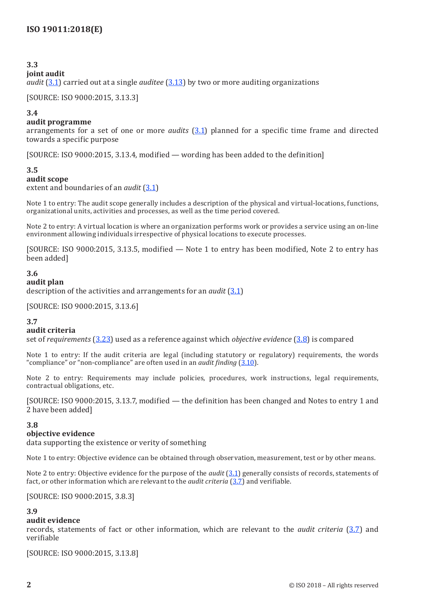# **3.3**

## **joint audit**

*audit* [\(3.1](#page-8-1)) carried out at a single *auditee* [\(3.13](#page-10-0)) by two or more auditing organizations

[SOURCE: ISO 9000:2015, 3.13.3]

### **3.4**

## **audit programme**

arrangements for a set of one or more *audits* ([3.1](#page-8-1)) planned for a specific time frame and directed towards a specific purpose

[SOURCE: ISO 9000:2015, 3.13.4, modified — wording has been added to the definition]

#### **3.5**

#### **audit scope**

extent and boundaries of an *audit* ([3.1\)](#page-8-1)

Note 1 to entry: The audit scope generally includes a description of the physical and virtual-locations, functions, organizational units, activities and processes, as well as the time period covered.

Note 2 to entry: A virtual location is where an organization performs work or provides a service using an on-line environment allowing individuals irrespective of physical locations to execute processes.

[SOURCE: ISO 9000:2015, 3.13.5, modified — Note 1 to entry has been modified, Note 2 to entry has been added]

## **3.6**

#### **audit plan**

description of the activities and arrangements for an *audit* [\(3.1\)](#page-8-1)

[SOURCE: ISO 9000:2015, 3.13.6]

#### <span id="page-9-1"></span>**3.7**

#### **audit criteria**

set of *requirements* ([3.23](#page-12-1)) used as a reference against which *objective evidence* ([3.8](#page-9-0)) is compared

Note 1 to entry: If the audit criteria are legal (including statutory or regulatory) requirements, the words "compliance" or "non-compliance" are often used in an *audit finding* [\(3.10](#page-10-1)).

Note 2 to entry: Requirements may include policies, procedures, work instructions, legal requirements, contractual obligations, etc.

[SOURCE: ISO 9000:2015, 3.13.7, modified — the definition has been changed and Notes to entry 1 and 2 have been added]

#### <span id="page-9-0"></span>**3.8**

#### **objective evidence**

data supporting the existence or verity of something

Note 1 to entry: Objective evidence can be obtained through observation, measurement, test or by other means.

Note 2 to entry: Objective evidence for the purpose of the *audit* ([3.1](#page-8-1)) generally consists of records, statements of fact, or other information which are relevant to the *audit criteria* [\(3.7](#page-9-1)) and verifiable.

[SOURCE: ISO 9000:2015, 3.8.3]

#### <span id="page-9-2"></span>**3.9**

#### **audit evidence**

records, statements of fact or other information, which are relevant to the *audit criteria* ([3.7](#page-9-1)) and verifiable

[SOURCE: ISO 9000:2015, 3.13.8]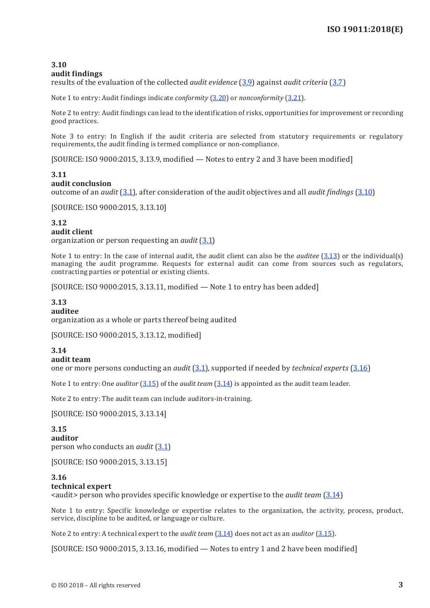#### <span id="page-10-1"></span>**3.10 audit findings**

results of the evaluation of the collected *audit evidence* [\(3.9](#page-9-2)) against *audit criteria* [\(3.7](#page-9-1))

Note 1 to entry: Audit findings indicate *conformity* ([3.20](#page-11-1)) or *nonconformity* ([3.21](#page-11-2)).

Note 2 to entry: Audit findings can lead to the identification of risks, opportunities for improvement or recording good practices.

Note 3 to entry: In English if the audit criteria are selected from statutory requirements or regulatory requirements, the audit finding is termed compliance or non-compliance.

[SOURCE: ISO 9000:2015, 3.13.9, modified — Notes to entry 2 and 3 have been modified]

# **3.11**

### **audit conclusion**

outcome of an *audit* [\(3.1](#page-8-1)), after consideration of the audit objectives and all *audit findings* ([3.10](#page-10-1))

[SOURCE: ISO 9000:2015, 3.13.10]

# **3.12**

#### **audit client**

organization or person requesting an *audit* [\(3.1](#page-8-1))

Note 1 to entry: In the case of internal audit, the audit client can also be the *auditee* ([3.13](#page-10-0)) or the individual(s) managing the audit programme. Requests for external audit can come from sources such as regulators, contracting parties or potential or existing clients.

[SOURCE: ISO 9000:2015, 3.13.11, modified — Note 1 to entry has been added]

# <span id="page-10-0"></span>**3.13**

## **auditee**

organization as a whole or parts thereof being audited

[SOURCE: ISO 9000:2015, 3.13.12, modified]

## <span id="page-10-4"></span>**3.14**

#### **audit team**

one or more persons conducting an *audit* [\(3.1](#page-8-1)), supported if needed by *technical experts* [\(3.16](#page-10-2))

Note 1 to entry: One *auditor* ([3.15](#page-10-3)) of the *audit team* ([3.14\)](#page-10-4) is appointed as the audit team leader.

Note 2 to entry: The audit team can include auditors-in-training.

[SOURCE: ISO 9000:2015, 3.13.14]

#### <span id="page-10-3"></span>**3.15 auditor** person who conducts an *audit* ([3.1](#page-8-1))

[SOURCE: ISO 9000:2015, 3.13.15]

#### <span id="page-10-2"></span>**3.16 technical expert**

<audit> person who provides specific knowledge or expertise to the *audit team* ([3.14](#page-10-4))

Note 1 to entry: Specific knowledge or expertise relates to the organization, the activity, process, product, service, discipline to be audited, or language or culture.

Note 2 to entry: A technical expert to the *audit team* ([3.14](#page-10-4)) does not act as an *auditor* [\(3.15\)](#page-10-3).

[SOURCE: ISO 9000:2015, 3.13.16, modified — Notes to entry 1 and 2 have been modified]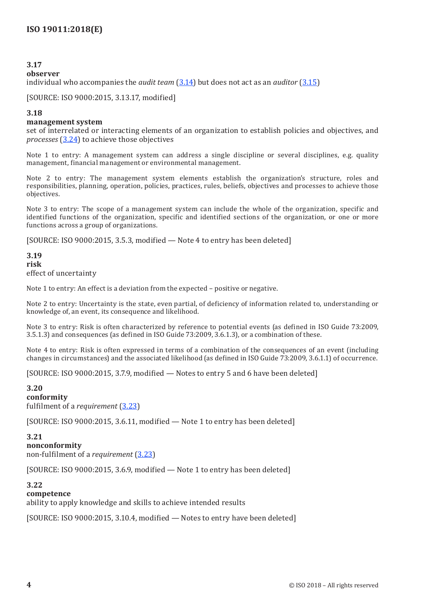## **3.17**

#### **observer**

individual who accompanies the *audit team* ([3.14](#page-10-4)) but does not act as an *auditor* ([3.15](#page-10-3))

[SOURCE: ISO 9000:2015, 3.13.17, modified]

#### <span id="page-11-0"></span>**3.18**

#### **management system**

set of interrelated or interacting elements of an organization to establish policies and objectives, and *processes* ([3.24](#page-12-2)) to achieve those objectives

Note 1 to entry: A management system can address a single discipline or several disciplines, e.g. quality management, financial management or environmental management.

Note 2 to entry: The management system elements establish the organization's structure, roles and responsibilities, planning, operation, policies, practices, rules, beliefs, objectives and processes to achieve those objectives.

Note 3 to entry: The scope of a management system can include the whole of the organization, specific and identified functions of the organization, specific and identified sections of the organization, or one or more functions across a group of organizations.

[SOURCE: ISO 9000:2015, 3.5.3, modified — Note 4 to entry has been deleted]

#### **3.19 risk** effect of uncertainty

Note 1 to entry: An effect is a deviation from the expected – positive or negative.

Note 2 to entry: Uncertainty is the state, even partial, of deficiency of information related to, understanding or knowledge of, an event, its consequence and likelihood.

Note 3 to entry: Risk is often characterized by reference to potential events (as defined in ISO Guide 73:2009, 3.5.1.3) and consequences (as defined in ISO Guide 73:2009, 3.6.1.3), or a combination of these.

Note 4 to entry: Risk is often expressed in terms of a combination of the consequences of an event (including changes in circumstances) and the associated likelihood (as defined in ISO Guide 73:2009, 3.6.1.1) of occurrence.

[SOURCE: ISO 9000:2015, 3.7.9, modified — Notes to entry 5 and 6 have been deleted]

#### <span id="page-11-1"></span>**3.20**

#### **conformity**

fulfilment of a *requirement* [\(3.23\)](#page-12-1)

[SOURCE: ISO 9000:2015, 3.6.11, modified — Note 1 to entry has been deleted]

#### <span id="page-11-2"></span>**3.21**

**nonconformity** non-fulfilment of a *requirement* ([3.23](#page-12-1))

[SOURCE: ISO 9000:2015, 3.6.9, modified — Note 1 to entry has been deleted]

#### **3.22**

#### **competence**

ability to apply knowledge and skills to achieve intended results

[SOURCE: ISO 9000:2015, 3.10.4, modified — Notes to entry have been deleted]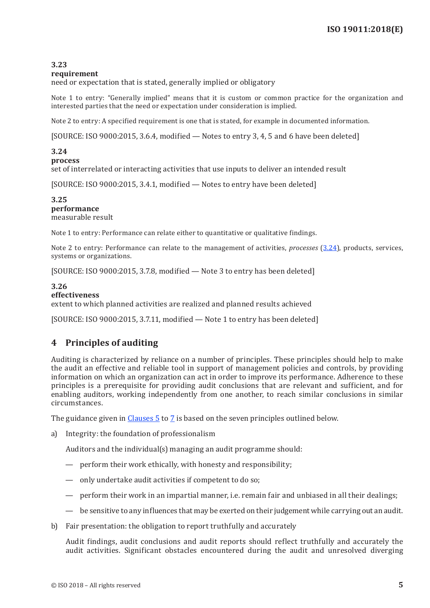## <span id="page-12-1"></span><span id="page-12-0"></span>**3.23**

#### **requirement**

need or expectation that is stated, generally implied or obligatory

Note 1 to entry: "Generally implied" means that it is custom or common practice for the organization and interested parties that the need or expectation under consideration is implied.

Note 2 to entry: A specified requirement is one that is stated, for example in documented information.

[SOURCE: ISO 9000:2015, 3.6.4, modified — Notes to entry 3, 4, 5 and 6 have been deleted]

## <span id="page-12-2"></span>**3.24**

#### **process**

set of interrelated or interacting activities that use inputs to deliver an intended result

[SOURCE: ISO 9000:2015, 3.4.1, modified — Notes to entry have been deleted]

# **3.25**

**performance** measurable result

Note 1 to entry: Performance can relate either to quantitative or qualitative findings.

Note 2 to entry: Performance can relate to the management of activities, *processes* ([3.24](#page-12-2)), products, services, systems or organizations.

[SOURCE: ISO 9000:2015, 3.7.8, modified — Note 3 to entry has been deleted]

## **3.26**

#### **effectiveness**

extent to which planned activities are realized and planned results achieved

[SOURCE: ISO 9000:2015, 3.7.11, modified — Note 1 to entry has been deleted]

# <span id="page-12-3"></span>**4 Principles of auditing**

Auditing is characterized by reliance on a number of principles. These principles should help to make the audit an effective and reliable tool in support of management policies and controls, by providing information on which an organization can act in order to improve its performance. Adherence to these principles is a prerequisite for providing audit conclusions that are relevant and sufficient, and for enabling auditors, working independently from one another, to reach similar conclusions in similar circumstances.

The guidance given in [Clauses](#page-13-1) 5 to [7](#page-35-1) is based on the seven principles outlined below.

a) Integrity: the foundation of professionalism

Auditors and the individual(s) managing an audit programme should:

- perform their work ethically, with honesty and responsibility;
- only undertake audit activities if competent to do so;
- perform their work in an impartial manner, i.e. remain fair and unbiased in all their dealings;
- be sensitive to any influences that may be exerted on their judgement while carrying out an audit.
- b) Fair presentation: the obligation to report truthfully and accurately

Audit findings, audit conclusions and audit reports should reflect truthfully and accurately the audit activities. Significant obstacles encountered during the audit and unresolved diverging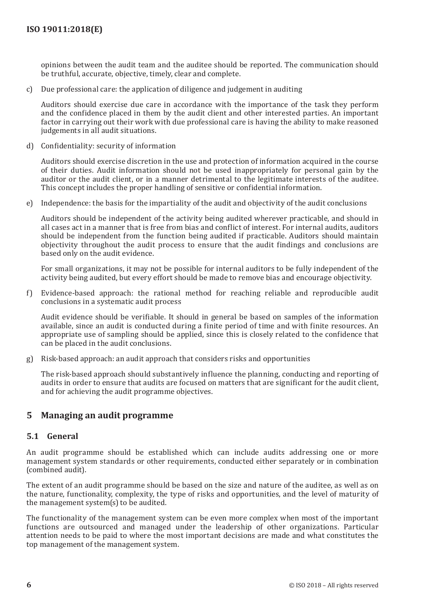<span id="page-13-0"></span>opinions between the audit team and the auditee should be reported. The communication should be truthful, accurate, objective, timely, clear and complete.

c) Due professional care: the application of diligence and judgement in auditing

Auditors should exercise due care in accordance with the importance of the task they perform and the confidence placed in them by the audit client and other interested parties. An important factor in carrying out their work with due professional care is having the ability to make reasoned judgements in all audit situations.

d) Confidentiality: security of information

Auditors should exercise discretion in the use and protection of information acquired in the course of their duties. Audit information should not be used inappropriately for personal gain by the auditor or the audit client, or in a manner detrimental to the legitimate interests of the auditee. This concept includes the proper handling of sensitive or confidential information.

e) Independence: the basis for the impartiality of the audit and objectivity of the audit conclusions

Auditors should be independent of the activity being audited wherever practicable, and should in all cases act in a manner that is free from bias and conflict of interest. For internal audits, auditors should be independent from the function being audited if practicable. Auditors should maintain objectivity throughout the audit process to ensure that the audit findings and conclusions are based only on the audit evidence.

For small organizations, it may not be possible for internal auditors to be fully independent of the activity being audited, but every effort should be made to remove bias and encourage objectivity.

f) Evidence-based approach: the rational method for reaching reliable and reproducible audit conclusions in a systematic audit process

Audit evidence should be verifiable. It should in general be based on samples of the information available, since an audit is conducted during a finite period of time and with finite resources. An appropriate use of sampling should be applied, since this is closely related to the confidence that can be placed in the audit conclusions.

g) Risk-based approach: an audit approach that considers risks and opportunities

The risk-based approach should substantively influence the planning, conducting and reporting of audits in order to ensure that audits are focused on matters that are significant for the audit client, and for achieving the audit programme objectives.

## <span id="page-13-1"></span>**5 Managing an audit programme**

#### **5.1 General**

An audit programme should be established which can include audits addressing one or more management system standards or other requirements, conducted either separately or in combination (combined audit).

The extent of an audit programme should be based on the size and nature of the auditee, as well as on the nature, functionality, complexity, the type of risks and opportunities, and the level of maturity of the management system(s) to be audited.

The functionality of the management system can be even more complex when most of the important functions are outsourced and managed under the leadership of other organizations. Particular attention needs to be paid to where the most important decisions are made and what constitutes the top management of the management system.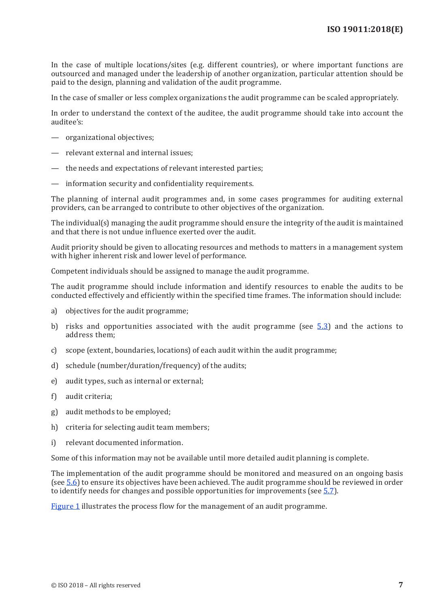In the case of multiple locations/sites (e.g. different countries), or where important functions are outsourced and managed under the leadership of another organization, particular attention should be paid to the design, planning and validation of the audit programme.

In the case of smaller or less complex organizations the audit programme can be scaled appropriately.

In order to understand the context of the auditee, the audit programme should take into account the auditee's:

- organizational objectives;
- relevant external and internal issues;
- the needs and expectations of relevant interested parties;
- information security and confidentiality requirements.

The planning of internal audit programmes and, in some cases programmes for auditing external providers, can be arranged to contribute to other objectives of the organization.

The individual(s) managing the audit programme should ensure the integrity of the audit is maintained and that there is not undue influence exerted over the audit.

Audit priority should be given to allocating resources and methods to matters in a management system with higher inherent risk and lower level of performance.

Competent individuals should be assigned to manage the audit programme.

The audit programme should include information and identify resources to enable the audits to be conducted effectively and efficiently within the specified time frames. The information should include:

- a) objectives for the audit programme;
- b) risks and opportunities associated with the audit programme (see  $5.3$ ) and the actions to address them;
- c) scope (extent, boundaries, locations) of each audit within the audit programme;
- d) schedule (number/duration/frequency) of the audits;
- e) audit types, such as internal or external;
- f) audit criteria;
- g) audit methods to be employed;
- h) criteria for selecting audit team members;
- i) relevant documented information.

Some of this information may not be available until more detailed audit planning is complete.

The implementation of the audit programme should be monitored and measured on an ongoing basis (see [5.6](#page-24-1)) to ensure its objectives have been achieved. The audit programme should be reviewed in order to identify needs for changes and possible opportunities for improvements (see [5.7\)](#page-24-2).

[Figure](#page-15-0) 1 illustrates the process flow for the management of an audit programme.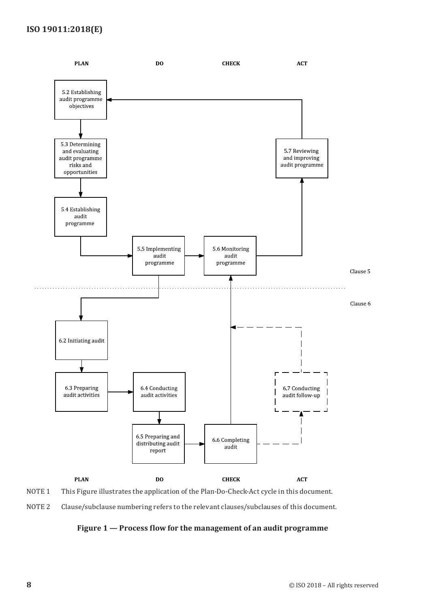# **ISO 19011:2018(E)**



NOTE 1 This Figure illustrates the application of the Plan-Do-Check-Act cycle in this document.

NOTE 2 Clause/subclause numbering refers to the relevant clauses/subclauses of this document.

## <span id="page-15-0"></span>**Figure 1 — Process flow for the management of an audit programme**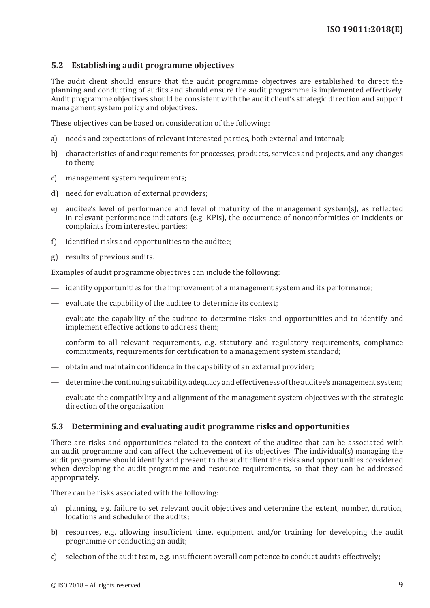## <span id="page-16-2"></span><span id="page-16-0"></span>**5.2 Establishing audit programme objectives**

The audit client should ensure that the audit programme objectives are established to direct the planning and conducting of audits and should ensure the audit programme is implemented effectively. Audit programme objectives should be consistent with the audit client's strategic direction and support management system policy and objectives.

These objectives can be based on consideration of the following:

- a) needs and expectations of relevant interested parties, both external and internal;
- b) characteristics of and requirements for processes, products, services and projects, and any changes to them;
- c) management system requirements;
- d) need for evaluation of external providers;
- e) auditee's level of performance and level of maturity of the management system(s), as reflected in relevant performance indicators (e.g. KPIs), the occurrence of nonconformities or incidents or complaints from interested parties;
- f) identified risks and opportunities to the auditee;
- g) results of previous audits.

Examples of audit programme objectives can include the following:

- identify opportunities for the improvement of a management system and its performance;
- evaluate the capability of the auditee to determine its context;
- evaluate the capability of the auditee to determine risks and opportunities and to identify and implement effective actions to address them;
- conform to all relevant requirements, e.g. statutory and regulatory requirements, compliance commitments, requirements for certification to a management system standard;
- obtain and maintain confidence in the capability of an external provider;
- determine the continuing suitability, adequacy and effectiveness of the auditee's management system;
- evaluate the compatibility and alignment of the management system objectives with the strategic direction of the organization.

#### <span id="page-16-1"></span>**5.3 Determining and evaluating audit programme risks and opportunities**

There are risks and opportunities related to the context of the auditee that can be associated with an audit programme and can affect the achievement of its objectives. The individual(s) managing the audit programme should identify and present to the audit client the risks and opportunities considered when developing the audit programme and resource requirements, so that they can be addressed appropriately.

There can be risks associated with the following:

- a) planning, e.g. failure to set relevant audit objectives and determine the extent, number, duration, locations and schedule of the audits;
- b) resources, e.g. allowing insufficient time, equipment and/or training for developing the audit programme or conducting an audit;
- c) selection of the audit team, e.g. insufficient overall competence to conduct audits effectively;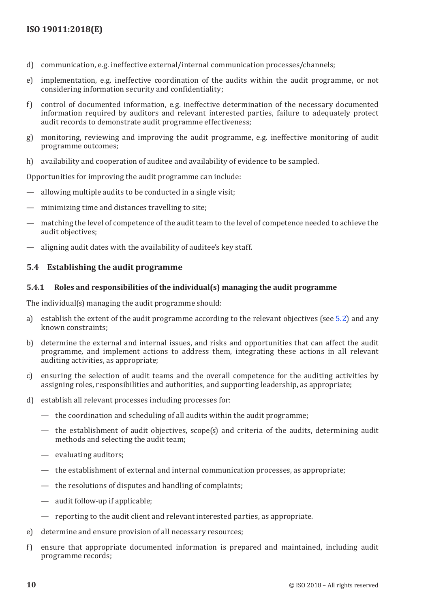- <span id="page-17-0"></span>d) communication, e.g. ineffective external/internal communication processes/channels;
- e) implementation, e.g. ineffective coordination of the audits within the audit programme, or not considering information security and confidentiality;
- f) control of documented information, e.g. ineffective determination of the necessary documented information required by auditors and relevant interested parties, failure to adequately protect audit records to demonstrate audit programme effectiveness;
- g) monitoring, reviewing and improving the audit programme, e.g. ineffective monitoring of audit programme outcomes;
- h) availability and cooperation of auditee and availability of evidence to be sampled.

Opportunities for improving the audit programme can include:

- allowing multiple audits to be conducted in a single visit;
- minimizing time and distances travelling to site;
- matching the level of competence of the audit team to the level of competence needed to achieve the audit objectives;
- aligning audit dates with the availability of auditee's key staff.

## **5.4 Establishing the audit programme**

## **5.4.1 Roles and responsibilities of the individual(s) managing the audit programme**

The individual(s) managing the audit programme should:

- a) establish the extent of the audit programme according to the relevant objectives (see [5.2](#page-16-2)) and any known constraints;
- b) determine the external and internal issues, and risks and opportunities that can affect the audit programme, and implement actions to address them, integrating these actions in all relevant auditing activities, as appropriate;
- c) ensuring the selection of audit teams and the overall competence for the auditing activities by assigning roles, responsibilities and authorities, and supporting leadership, as appropriate;
- d) establish all relevant processes including processes for:
	- the coordination and scheduling of all audits within the audit programme;
	- the establishment of audit objectives, scope(s) and criteria of the audits, determining audit methods and selecting the audit team;
	- evaluating auditors;
	- the establishment of external and internal communication processes, as appropriate;
	- the resolutions of disputes and handling of complaints;
	- audit follow-up if applicable;
	- reporting to the audit client and relevant interested parties, as appropriate.
- e) determine and ensure provision of all necessary resources;
- f) ensure that appropriate documented information is prepared and maintained, including audit programme records;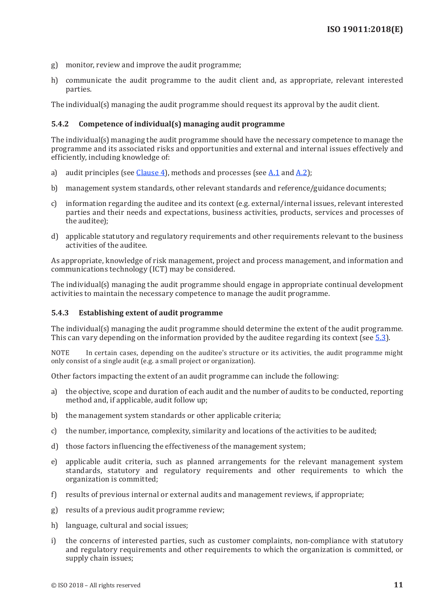- <span id="page-18-0"></span>g) monitor, review and improve the audit programme;
- h) communicate the audit programme to the audit client and, as appropriate, relevant interested parties.

The individual(s) managing the audit programme should request its approval by the audit client.

## <span id="page-18-2"></span>**5.4.2 Competence of individual(s) managing audit programme**

The individual(s) managing the audit programme should have the necessary competence to manage the programme and its associated risks and opportunities and external and internal issues effectively and efficiently, including knowledge of:

- a) audit principles (see [Clause 4](#page-12-3)), methods and processes (see [A.1](#page-42-2) and [A.2](#page-43-0));
- b) management system standards, other relevant standards and reference/guidance documents;
- c) information regarding the auditee and its context (e.g. external/internal issues, relevant interested parties and their needs and expectations, business activities, products, services and processes of the auditee);
- d) applicable statutory and regulatory requirements and other requirements relevant to the business activities of the auditee.

As appropriate, knowledge of risk management, project and process management, and information and communications technology (ICT) may be considered.

The individual(s) managing the audit programme should engage in appropriate continual development activities to maintain the necessary competence to manage the audit programme.

### <span id="page-18-1"></span>**5.4.3 Establishing extent of audit programme**

The individual(s) managing the audit programme should determine the extent of the audit programme. This can vary depending on the information provided by the auditee regarding its context (see [5.3](#page-16-1)).

NOTE In certain cases, depending on the auditee's structure or its activities, the audit programme might only consist of a single audit (e.g. a small project or organization).

Other factors impacting the extent of an audit programme can include the following:

- a) the objective, scope and duration of each audit and the number of audits to be conducted, reporting method and, if applicable, audit follow up;
- b) the management system standards or other applicable criteria;
- c) the number, importance, complexity, similarity and locations of the activities to be audited;
- d) those factors influencing the effectiveness of the management system;
- e) applicable audit criteria, such as planned arrangements for the relevant management system standards, statutory and regulatory requirements and other requirements to which the organization is committed;
- f) results of previous internal or external audits and management reviews, if appropriate;
- g) results of a previous audit programme review;
- h) language, cultural and social issues;
- i) the concerns of interested parties, such as customer complaints, non-compliance with statutory and regulatory requirements and other requirements to which the organization is committed, or supply chain issues;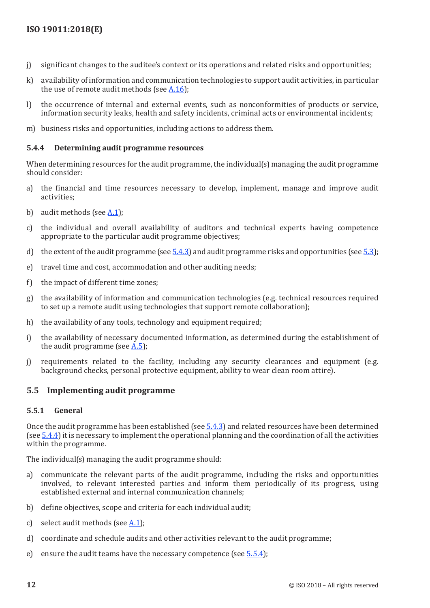- <span id="page-19-0"></span>j) significant changes to the auditee's context or its operations and related risks and opportunities;
- k) availability of information and communication technologies to support audit activities, in particular the use of remote audit methods (see [A.16](#page-50-0));
- l) the occurrence of internal and external events, such as nonconformities of products or service, information security leaks, health and safety incidents, criminal acts or environmental incidents;
- m) business risks and opportunities, including actions to address them.

## <span id="page-19-1"></span>**5.4.4 Determining audit programme resources**

When determining resources for the audit programme, the individual(s) managing the audit programme should consider:

- a) the financial and time resources necessary to develop, implement, manage and improve audit activities;
- b) audit methods (see [A.1](#page-42-2));
- c) the individual and overall availability of auditors and technical experts having competence appropriate to the particular audit programme objectives;
- d) the extent of the audit programme (see  $\overline{5.4.3}$ ) and audit programme risks and opportunities (see  $\overline{5.3}$  $\overline{5.3}$  $\overline{5.3}$ );
- e) travel time and cost, accommodation and other auditing needs;
- f) the impact of different time zones;
- g) the availability of information and communication technologies (e.g. technical resources required to set up a remote audit using technologies that support remote collaboration);
- h) the availability of any tools, technology and equipment required;
- i) the availability of necessary documented information, as determined during the establishment of the audit programme (see [A.5](#page-43-1));
- j) requirements related to the facility, including any security clearances and equipment (e.g. background checks, personal protective equipment, ability to wear clean room attire).

## **5.5 Implementing audit programme**

#### **5.5.1 General**

Once the audit programme has been established (see [5.4.3\)](#page-18-1) and related resources have been determined (see [5.4.4](#page-19-1)) it is necessary to implement the operational planning and the coordination of all the activities within the programme.

The individual(s) managing the audit programme should:

- a) communicate the relevant parts of the audit programme, including the risks and opportunities involved, to relevant interested parties and inform them periodically of its progress, using established external and internal communication channels;
- b) define objectives, scope and criteria for each individual audit;
- c) select audit methods (see  $A.1$ );
- d) coordinate and schedule audits and other activities relevant to the audit programme;
- e) ensure the audit teams have the necessary competence (see  $\overline{5.5.4}$  $\overline{5.5.4}$  $\overline{5.5.4}$ );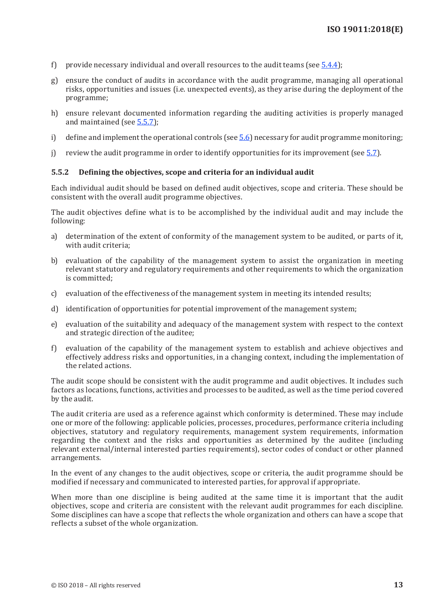- <span id="page-20-0"></span>f) provide necessary individual and overall resources to the audit teams (see [5.4.4\)](#page-19-1);
- g) ensure the conduct of audits in accordance with the audit programme, managing all operational risks, opportunities and issues (i.e. unexpected events), as they arise during the deployment of the programme;
- h) ensure relevant documented information regarding the auditing activities is properly managed and maintained (see [5.5.7](#page-23-1));
- i) define and implement the operational controls (see  $\overline{5.6}$  $\overline{5.6}$  $\overline{5.6}$ ) necessary for audit programme monitoring;
- j) review the audit programme in order to identify opportunities for its improvement (see  $\overline{5.7}$  $\overline{5.7}$  $\overline{5.7}$ ).

#### **5.5.2 Defining the objectives, scope and criteria for an individual audit**

Each individual audit should be based on defined audit objectives, scope and criteria. These should be consistent with the overall audit programme objectives.

The audit objectives define what is to be accomplished by the individual audit and may include the following:

- a) determination of the extent of conformity of the management system to be audited, or parts of it, with audit criteria;
- b) evaluation of the capability of the management system to assist the organization in meeting relevant statutory and regulatory requirements and other requirements to which the organization is committed;
- c) evaluation of the effectiveness of the management system in meeting its intended results;
- d) identification of opportunities for potential improvement of the management system;
- e) evaluation of the suitability and adequacy of the management system with respect to the context and strategic direction of the auditee;
- f) evaluation of the capability of the management system to establish and achieve objectives and effectively address risks and opportunities, in a changing context, including the implementation of the related actions.

The audit scope should be consistent with the audit programme and audit objectives. It includes such factors as locations, functions, activities and processes to be audited, as well as the time period covered by the audit.

The audit criteria are used as a reference against which conformity is determined. These may include one or more of the following: applicable policies, processes, procedures, performance criteria including objectives, statutory and regulatory requirements, management system requirements, information regarding the context and the risks and opportunities as determined by the auditee (including relevant external/internal interested parties requirements), sector codes of conduct or other planned arrangements.

In the event of any changes to the audit objectives, scope or criteria, the audit programme should be modified if necessary and communicated to interested parties, for approval if appropriate.

When more than one discipline is being audited at the same time it is important that the audit objectives, scope and criteria are consistent with the relevant audit programmes for each discipline. Some disciplines can have a scope that reflects the whole organization and others can have a scope that reflects a subset of the whole organization.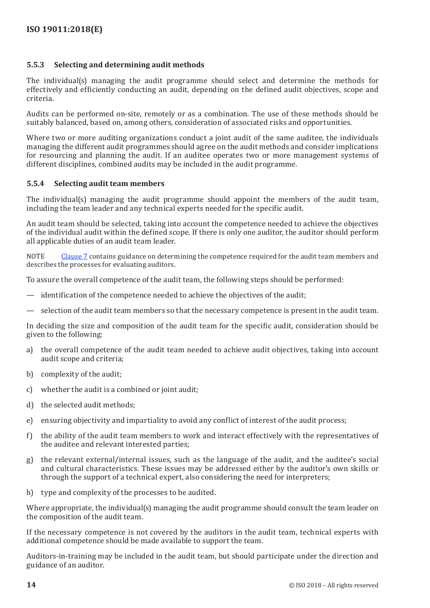## <span id="page-21-0"></span>**5.5.3 Selecting and determining audit methods**

The individual(s) managing the audit programme should select and determine the methods for effectively and efficiently conducting an audit, depending on the defined audit objectives, scope and criteria.

Audits can be performed on-site, remotely or as a combination. The use of these methods should be suitably balanced, based on, among others, consideration of associated risks and opportunities.

Where two or more auditing organizations conduct a joint audit of the same auditee, the individuals managing the different audit programmes should agree on the audit methods and consider implications for resourcing and planning the audit. If an auditee operates two or more management systems of different disciplines, combined audits may be included in the audit programme.

## <span id="page-21-1"></span>**5.5.4 Selecting audit team members**

The individual(s) managing the audit programme should appoint the members of the audit team, including the team leader and any technical experts needed for the specific audit.

An audit team should be selected, taking into account the competence needed to achieve the objectives of the individual audit within the defined scope. If there is only one auditor, the auditor should perform all applicable duties of an audit team leader.

NOTE [Clause](#page-35-1) 7 contains guidance on determining the competence required for the audit team members and describes the processes for evaluating auditors.

To assure the overall competence of the audit team, the following steps should be performed:

- identification of the competence needed to achieve the objectives of the audit;
- selection of the audit team members so that the necessary competence is present in the audit team.

In deciding the size and composition of the audit team for the specific audit, consideration should be given to the following:

- a) the overall competence of the audit team needed to achieve audit objectives, taking into account audit scope and criteria;
- b) complexity of the audit;
- c) whether the audit is a combined or joint audit;
- d) the selected audit methods;
- e) ensuring objectivity and impartiality to avoid any conflict of interest of the audit process;
- f) the ability of the audit team members to work and interact effectively with the representatives of the auditee and relevant interested parties;
- g) the relevant external/internal issues, such as the language of the audit, and the auditee's social and cultural characteristics. These issues may be addressed either by the auditor's own skills or through the support of a technical expert, also considering the need for interpreters;
- h) type and complexity of the processes to be audited.

Where appropriate, the individual(s) managing the audit programme should consult the team leader on the composition of the audit team.

If the necessary competence is not covered by the auditors in the audit team, technical experts with additional competence should be made available to support the team.

Auditors-in-training may be included in the audit team, but should participate under the direction and guidance of an auditor.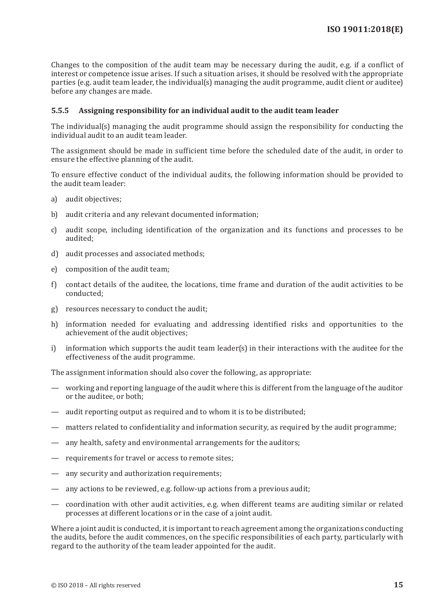<span id="page-22-0"></span>Changes to the composition of the audit team may be necessary during the audit, e.g. if a conflict of interest or competence issue arises. If such a situation arises, it should be resolved with the appropriate parties (e.g. audit team leader, the individual(s) managing the audit programme, audit client or auditee) before any changes are made.

## <span id="page-22-1"></span>**5.5.5 Assigning responsibility for an individual audit to the audit team leader**

The individual(s) managing the audit programme should assign the responsibility for conducting the individual audit to an audit team leader.

The assignment should be made in sufficient time before the scheduled date of the audit, in order to ensure the effective planning of the audit.

To ensure effective conduct of the individual audits, the following information should be provided to the audit team leader:

- a) audit objectives;
- b) audit criteria and any relevant documented information;
- c) audit scope, including identification of the organization and its functions and processes to be audited;
- d) audit processes and associated methods;
- e) composition of the audit team;
- f) contact details of the auditee, the locations, time frame and duration of the audit activities to be conducted;
- g) resources necessary to conduct the audit;
- h) information needed for evaluating and addressing identified risks and opportunities to the achievement of the audit objectives;
- i) information which supports the audit team leader(s) in their interactions with the auditee for the effectiveness of the audit programme.

The assignment information should also cover the following, as appropriate:

- working and reporting language of the audit where this is different from the language of the auditor or the auditee, or both;
- audit reporting output as required and to whom it is to be distributed;
- matters related to confidentiality and information security, as required by the audit programme;
- any health, safety and environmental arrangements for the auditors;
- requirements for travel or access to remote sites;
- any security and authorization requirements;
- any actions to be reviewed, e.g. follow-up actions from a previous audit;
- coordination with other audit activities, e.g. when different teams are auditing similar or related processes at different locations or in the case of a joint audit.

Where a joint audit is conducted, it is important to reach agreement among the organizations conducting the audits, before the audit commences, on the specific responsibilities of each party, particularly with regard to the authority of the team leader appointed for the audit.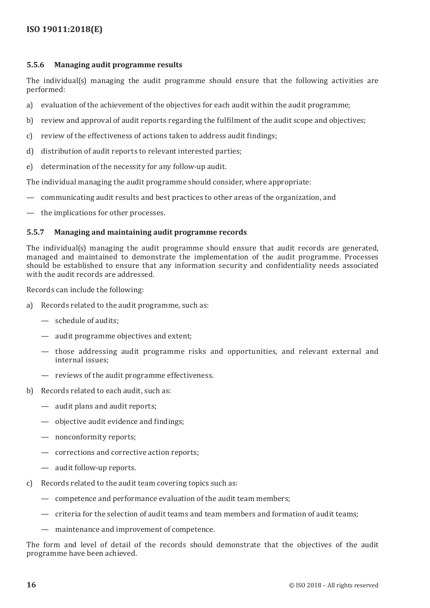## <span id="page-23-0"></span>**5.5.6 Managing audit programme results**

The individual(s) managing the audit programme should ensure that the following activities are performed:

- a) evaluation of the achievement of the objectives for each audit within the audit programme;
- b) review and approval of audit reports regarding the fulfilment of the audit scope and objectives;
- c) review of the effectiveness of actions taken to address audit findings;
- d) distribution of audit reports to relevant interested parties;
- e) determination of the necessity for any follow-up audit.

The individual managing the audit programme should consider, where appropriate:

- communicating audit results and best practices to other areas of the organization, and
- the implications for other processes.

## <span id="page-23-1"></span>**5.5.7 Managing and maintaining audit programme records**

The individual(s) managing the audit programme should ensure that audit records are generated, managed and maintained to demonstrate the implementation of the audit programme. Processes should be established to ensure that any information security and confidentiality needs associated with the audit records are addressed.

Records can include the following:

- a) Records related to the audit programme, such as:
	- schedule of audits;
	- audit programme objectives and extent;
	- those addressing audit programme risks and opportunities, and relevant external and internal issues;
	- reviews of the audit programme effectiveness.
- b) Records related to each audit, such as:
	- audit plans and audit reports;
	- objective audit evidence and findings;
	- nonconformity reports;
	- corrections and corrective action reports;
	- audit follow-up reports.
- c) Records related to the audit team covering topics such as:
	- competence and performance evaluation of the audit team members;
	- criteria for the selection of audit teams and team members and formation of audit teams;
	- maintenance and improvement of competence.

The form and level of detail of the records should demonstrate that the objectives of the audit programme have been achieved.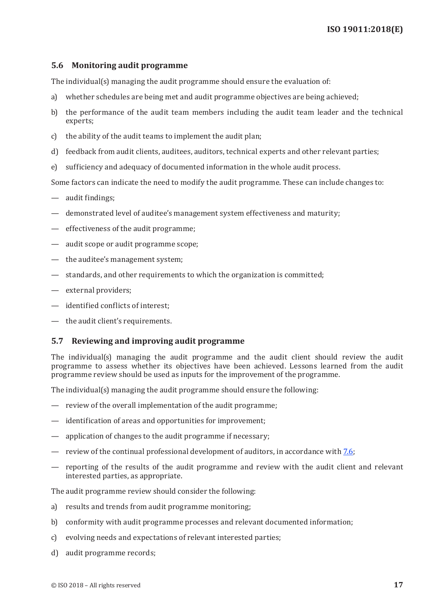### <span id="page-24-1"></span><span id="page-24-0"></span>**5.6 Monitoring audit programme**

The individual(s) managing the audit programme should ensure the evaluation of:

- a) whether schedules are being met and audit programme objectives are being achieved;
- b) the performance of the audit team members including the audit team leader and the technical experts;
- c) the ability of the audit teams to implement the audit plan;
- d) feedback from audit clients, auditees, auditors, technical experts and other relevant parties;
- e) sufficiency and adequacy of documented information in the whole audit process.

Some factors can indicate the need to modify the audit programme. These can include changes to:

- audit findings;
- demonstrated level of auditee's management system effectiveness and maturity;
- effectiveness of the audit programme;
- audit scope or audit programme scope;
- the auditee's management system;
- standards, and other requirements to which the organization is committed;
- external providers;
- identified conflicts of interest;
- the audit client's requirements.

#### <span id="page-24-2"></span>**5.7 Reviewing and improving audit programme**

The individual(s) managing the audit programme and the audit client should review the audit programme to assess whether its objectives have been achieved. Lessons learned from the audit programme review should be used as inputs for the improvement of the programme.

The individual(s) managing the audit programme should ensure the following:

- review of the overall implementation of the audit programme;
- identification of areas and opportunities for improvement;
- application of changes to the audit programme if necessary;
- review of the continual professional development of auditors, in accordance with [7.6](#page-41-1);
- reporting of the results of the audit programme and review with the audit client and relevant interested parties, as appropriate.

The audit programme review should consider the following:

- a) results and trends from audit programme monitoring;
- b) conformity with audit programme processes and relevant documented information;
- c) evolving needs and expectations of relevant interested parties;
- d) audit programme records;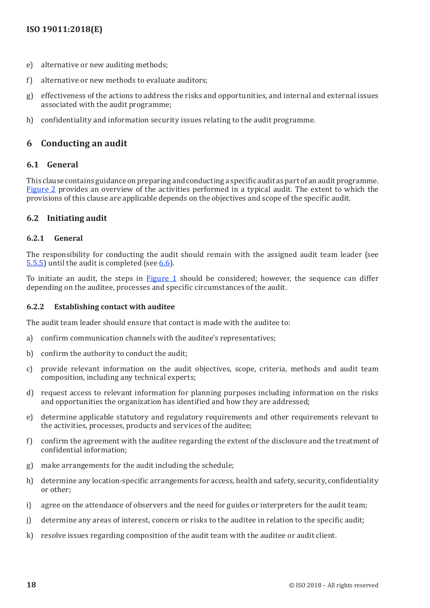- <span id="page-25-0"></span>e) alternative or new auditing methods;
- f) alternative or new methods to evaluate auditors;
- g) effectiveness of the actions to address the risks and opportunities, and internal and external issues associated with the audit programme;
- h) confidentiality and information security issues relating to the audit programme.

# **6 Conducting an audit**

## **6.1 General**

This clause contains guidance on preparing and conducting a specific audit as part of an audit programme. [Figure](#page-31-1) 2 provides an overview of the activities performed in a typical audit. The extent to which the provisions of this clause are applicable depends on the objectives and scope of the specific audit.

## **6.2 Initiating audit**

## **6.2.1 General**

The responsibility for conducting the audit should remain with the assigned audit team leader (see [5.5.5](#page-22-1)) until the audit is completed (see [6.6](#page-35-2)).

To initiate an audit, the steps in [Figure](#page-15-0) 1 should be considered; however, the sequence can differ depending on the auditee, processes and specific circumstances of the audit.

### **6.2.2 Establishing contact with auditee**

The audit team leader should ensure that contact is made with the auditee to:

- a) confirm communication channels with the auditee's representatives;
- b) confirm the authority to conduct the audit;
- c) provide relevant information on the audit objectives, scope, criteria, methods and audit team composition, including any technical experts;
- d) request access to relevant information for planning purposes including information on the risks and opportunities the organization has identified and how they are addressed;
- e) determine applicable statutory and regulatory requirements and other requirements relevant to the activities, processes, products and services of the auditee;
- f) confirm the agreement with the auditee regarding the extent of the disclosure and the treatment of confidential information;
- g) make arrangements for the audit including the schedule;
- h) determine any location-specific arrangements for access, health and safety, security, confidentiality or other;
- i) agree on the attendance of observers and the need for guides or interpreters for the audit team;
- j) determine any areas of interest, concern or risks to the auditee in relation to the specific audit;
- k) resolve issues regarding composition of the audit team with the auditee or audit client.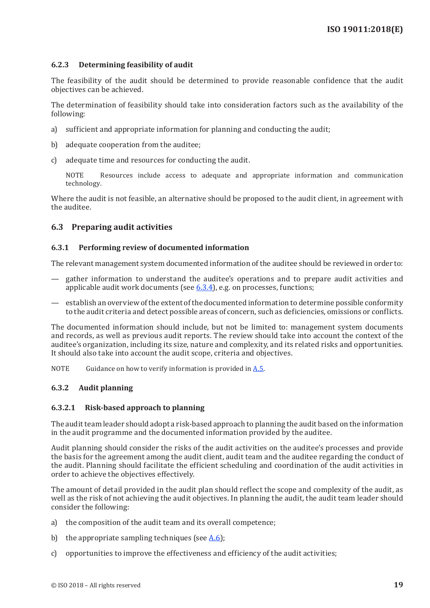#### <span id="page-26-0"></span>**6.2.3 Determining feasibility of audit**

The feasibility of the audit should be determined to provide reasonable confidence that the audit objectives can be achieved.

The determination of feasibility should take into consideration factors such as the availability of the following:

- a) sufficient and appropriate information for planning and conducting the audit;
- b) adequate cooperation from the auditee;
- c) adequate time and resources for conducting the audit.

NOTE Resources include access to adequate and appropriate information and communication technology.

Where the audit is not feasible, an alternative should be proposed to the audit client, in agreement with the auditee.

## **6.3 Preparing audit activities**

#### **6.3.1 Performing review of documented information**

The relevant management system documented information of the auditee should be reviewed in order to:

- gather information to understand the auditee's operations and to prepare audit activities and applicable audit work documents (see  $6.3.4$ ), e.g. on processes, functions;
- establish an overview of the extent of the documented information to determine possible conformity to the audit criteria and detect possible areas of concern, such as deficiencies, omissions or conflicts.

The documented information should include, but not be limited to: management system documents and records, as well as previous audit reports. The review should take into account the context of the auditee's organization, including its size, nature and complexity, and its related risks and opportunities. It should also take into account the audit scope, criteria and objectives.

NOTE Guidance on how to verify information is provided in [A.5](#page-43-1).

#### **6.3.2 Audit planning**

#### **6.3.2.1 Risk-based approach to planning**

The audit team leader should adopt a risk-based approach to planning the audit based on the information in the audit programme and the documented information provided by the auditee.

Audit planning should consider the risks of the audit activities on the auditee's processes and provide the basis for the agreement among the audit client, audit team and the auditee regarding the conduct of the audit. Planning should facilitate the efficient scheduling and coordination of the audit activities in order to achieve the objectives effectively.

The amount of detail provided in the audit plan should reflect the scope and complexity of the audit, as well as the risk of not achieving the audit objectives. In planning the audit, the audit team leader should consider the following:

- a) the composition of the audit team and its overall competence;
- b) the appropriate sampling techniques (see  $A.6$ );
- c) opportunities to improve the effectiveness and efficiency of the audit activities;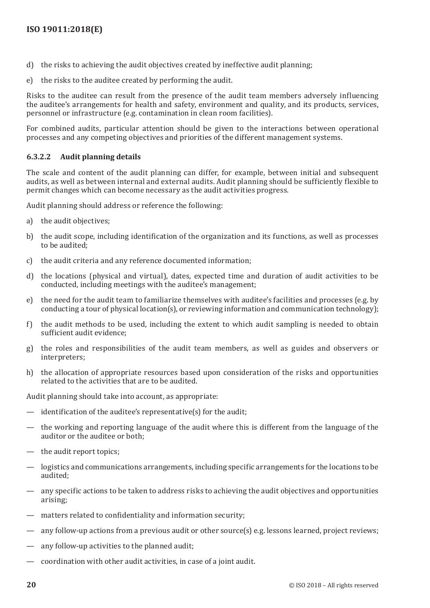- d) the risks to achieving the audit objectives created by ineffective audit planning;
- e) the risks to the auditee created by performing the audit.

Risks to the auditee can result from the presence of the audit team members adversely influencing the auditee's arrangements for health and safety, environment and quality, and its products, services, personnel or infrastructure (e.g. contamination in clean room facilities).

For combined audits, particular attention should be given to the interactions between operational processes and any competing objectives and priorities of the different management systems.

## **6.3.2.2 Audit planning details**

The scale and content of the audit planning can differ, for example, between initial and subsequent audits, as well as between internal and external audits. Audit planning should be sufficiently flexible to permit changes which can become necessary as the audit activities progress.

Audit planning should address or reference the following:

- a) the audit objectives;
- b) the audit scope, including identification of the organization and its functions, as well as processes to be audited;
- c) the audit criteria and any reference documented information;
- d) the locations (physical and virtual), dates, expected time and duration of audit activities to be conducted, including meetings with the auditee's management;
- e) the need for the audit team to familiarize themselves with auditee's facilities and processes (e.g. by conducting a tour of physical location(s), or reviewing information and communication technology);
- f) the audit methods to be used, including the extent to which audit sampling is needed to obtain sufficient audit evidence;
- g) the roles and responsibilities of the audit team members, as well as guides and observers or interpreters;
- h) the allocation of appropriate resources based upon consideration of the risks and opportunities related to the activities that are to be audited.

Audit planning should take into account, as appropriate:

- identification of the auditee's representative $(s)$  for the audit;
- the working and reporting language of the audit where this is different from the language of the auditor or the auditee or both;
- the audit report topics;
- logistics and communications arrangements, including specific arrangements for the locations to be audited;
- any specific actions to be taken to address risks to achieving the audit objectives and opportunities arising;
- matters related to confidentiality and information security;
- any follow-up actions from a previous audit or other source(s) e.g. lessons learned, project reviews;
- any follow-up activities to the planned audit;
- coordination with other audit activities, in case of a joint audit.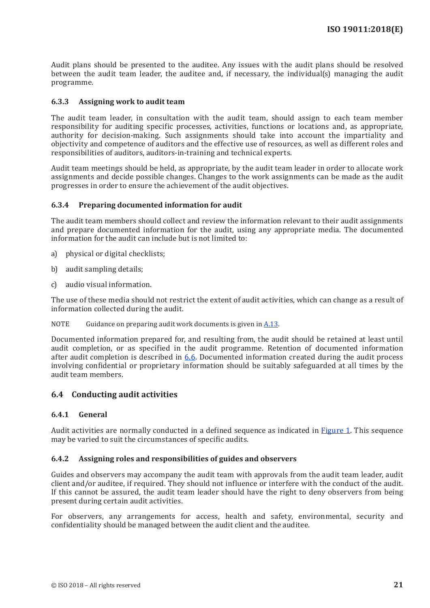<span id="page-28-0"></span>Audit plans should be presented to the auditee. Any issues with the audit plans should be resolved between the audit team leader, the auditee and, if necessary, the individual(s) managing the audit programme.

## **6.3.3 Assigning work to audit team**

The audit team leader, in consultation with the audit team, should assign to each team member responsibility for auditing specific processes, activities, functions or locations and, as appropriate, authority for decision-making. Such assignments should take into account the impartiality and objectivity and competence of auditors and the effective use of resources, as well as different roles and responsibilities of auditors, auditors-in-training and technical experts.

Audit team meetings should be held, as appropriate, by the audit team leader in order to allocate work assignments and decide possible changes. Changes to the work assignments can be made as the audit progresses in order to ensure the achievement of the audit objectives.

## <span id="page-28-1"></span>**6.3.4 Preparing documented information for audit**

The audit team members should collect and review the information relevant to their audit assignments and prepare documented information for the audit, using any appropriate media. The documented information for the audit can include but is not limited to:

- a) physical or digital checklists;
- b) audit sampling details;
- c) audio visual information.

The use of these media should not restrict the extent of audit activities, which can change as a result of information collected during the audit.

NOTE Guidance on preparing audit work documents is given in [A.13](#page-48-0).

Documented information prepared for, and resulting from, the audit should be retained at least until audit completion, or as specified in the audit programme. Retention of documented information after audit completion is described in [6.6](#page-35-2). Documented information created during the audit process involving confidential or proprietary information should be suitably safeguarded at all times by the audit team members.

## **6.4 Conducting audit activities**

#### **6.4.1 General**

Audit activities are normally conducted in a defined sequence as indicated in [Figure](#page-15-0) 1. This sequence may be varied to suit the circumstances of specific audits.

#### **6.4.2 Assigning roles and responsibilities of guides and observers**

Guides and observers may accompany the audit team with approvals from the audit team leader, audit client and/or auditee, if required. They should not influence or interfere with the conduct of the audit. If this cannot be assured, the audit team leader should have the right to deny observers from being present during certain audit activities.

For observers, any arrangements for access, health and safety, environmental, security and confidentiality should be managed between the audit client and the auditee.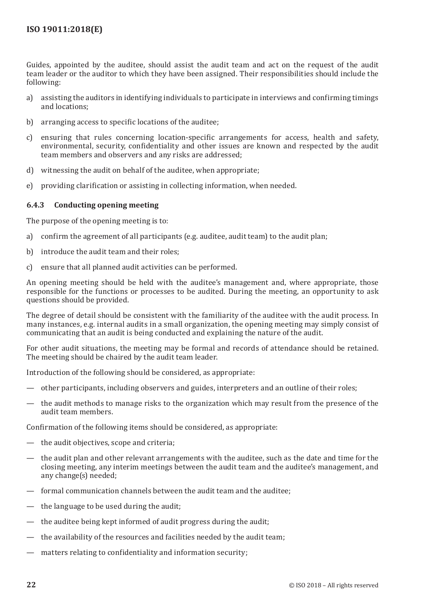<span id="page-29-0"></span>Guides, appointed by the auditee, should assist the audit team and act on the request of the audit team leader or the auditor to which they have been assigned. Their responsibilities should include the following:

- a) assisting the auditors in identifying individuals to participate in interviews and confirming timings and locations;
- b) arranging access to specific locations of the auditee;
- c) ensuring that rules concerning location-specific arrangements for access, health and safety, environmental, security, confidentiality and other issues are known and respected by the audit team members and observers and any risks are addressed;
- d) witnessing the audit on behalf of the auditee, when appropriate;
- e) providing clarification or assisting in collecting information, when needed.

## **6.4.3 Conducting opening meeting**

The purpose of the opening meeting is to:

- a) confirm the agreement of all participants (e.g. auditee, audit team) to the audit plan;
- b) introduce the audit team and their roles;
- c) ensure that all planned audit activities can be performed.

An opening meeting should be held with the auditee's management and, where appropriate, those responsible for the functions or processes to be audited. During the meeting, an opportunity to ask questions should be provided.

The degree of detail should be consistent with the familiarity of the auditee with the audit process. In many instances, e.g. internal audits in a small organization, the opening meeting may simply consist of communicating that an audit is being conducted and explaining the nature of the audit.

For other audit situations, the meeting may be formal and records of attendance should be retained. The meeting should be chaired by the audit team leader.

Introduction of the following should be considered, as appropriate:

- other participants, including observers and guides, interpreters and an outline of their roles;
- the audit methods to manage risks to the organization which may result from the presence of the audit team members.

Confirmation of the following items should be considered, as appropriate:

- the audit objectives, scope and criteria;
- the audit plan and other relevant arrangements with the auditee, such as the date and time for the closing meeting, any interim meetings between the audit team and the auditee's management, and any change(s) needed;
- formal communication channels between the audit team and the auditee:
- the language to be used during the audit;
- the auditee being kept informed of audit progress during the audit;
- the availability of the resources and facilities needed by the audit team;
- matters relating to confidentiality and information security;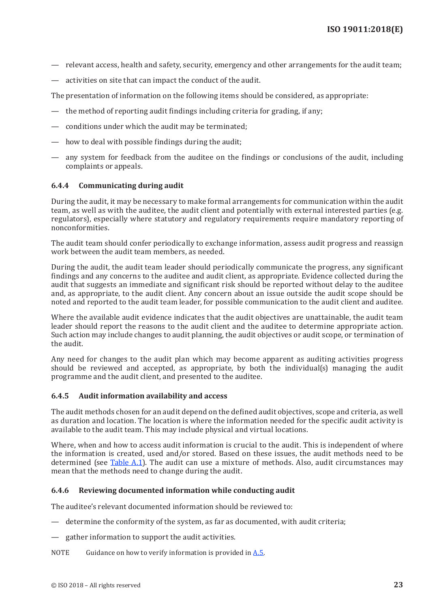- <span id="page-30-0"></span>— relevant access, health and safety, security, emergency and other arrangements for the audit team;
- activities on site that can impact the conduct of the audit.

The presentation of information on the following items should be considered, as appropriate:

- the method of reporting audit findings including criteria for grading, if any;
- conditions under which the audit may be terminated;
- how to deal with possible findings during the audit;
- any system for feedback from the auditee on the findings or conclusions of the audit, including complaints or appeals.

## **6.4.4 Communicating during audit**

During the audit, it may be necessary to make formal arrangements for communication within the audit team, as well as with the auditee, the audit client and potentially with external interested parties (e.g. regulators), especially where statutory and regulatory requirements require mandatory reporting of nonconformities.

The audit team should confer periodically to exchange information, assess audit progress and reassign work between the audit team members, as needed.

During the audit, the audit team leader should periodically communicate the progress, any significant findings and any concerns to the auditee and audit client, as appropriate. Evidence collected during the audit that suggests an immediate and significant risk should be reported without delay to the auditee and, as appropriate, to the audit client. Any concern about an issue outside the audit scope should be noted and reported to the audit team leader, for possible communication to the audit client and auditee.

Where the available audit evidence indicates that the audit objectives are unattainable, the audit team leader should report the reasons to the audit client and the auditee to determine appropriate action. Such action may include changes to audit planning, the audit objectives or audit scope, or termination of the audit.

Any need for changes to the audit plan which may become apparent as auditing activities progress should be reviewed and accepted, as appropriate, by both the individual(s) managing the audit programme and the audit client, and presented to the auditee.

#### **6.4.5 Audit information availability and access**

The audit methods chosen for an audit depend on the defined audit objectives, scope and criteria, as well as duration and location. The location is where the information needed for the specific audit activity is available to the audit team. This may include physical and virtual locations.

Where, when and how to access audit information is crucial to the audit. This is independent of where the information is created, used and/or stored. Based on these issues, the audit methods need to be determined (see [Table](#page-42-3) A.1). The audit can use a mixture of methods. Also, audit circumstances may mean that the methods need to change during the audit.

#### **6.4.6 Reviewing documented information while conducting audit**

The auditee's relevant documented information should be reviewed to:

- determine the conformity of the system, as far as documented, with audit criteria;
- gather information to support the audit activities.
- NOTE Guidance on how to verify information is provided in  $A.5$ .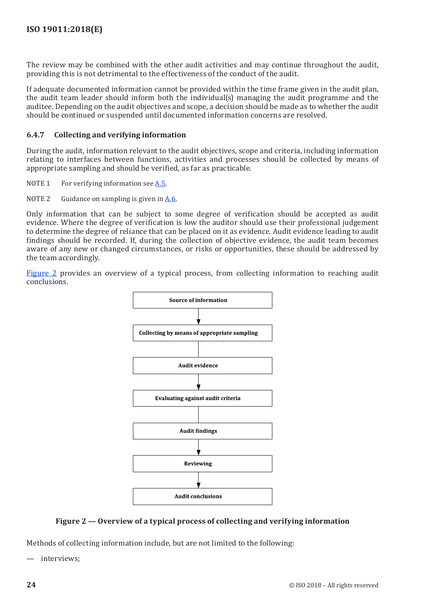<span id="page-31-0"></span>The review may be combined with the other audit activities and may continue throughout the audit, providing this is not detrimental to the effectiveness of the conduct of the audit.

If adequate documented information cannot be provided within the time frame given in the audit plan, the audit team leader should inform both the individual(s) managing the audit programme and the auditee. Depending on the audit objectives and scope, a decision should be made as to whether the audit should be continued or suspended until documented information concerns are resolved.

## **6.4.7 Collecting and verifying information**

During the audit, information relevant to the audit objectives, scope and criteria, including information relating to interfaces between functions, activities and processes should be collected by means of appropriate sampling and should be verified, as far as practicable.

- NOTE 1 For verifying information see  $A.5$ .
- NOTE 2 Guidance on sampling is given in  $A.6$ .

Only information that can be subject to some degree of verification should be accepted as audit evidence. Where the degree of verification is low the auditor should use their professional judgement to determine the degree of reliance that can be placed on it as evidence. Audit evidence leading to audit findings should be recorded. If, during the collection of objective evidence, the audit team becomes aware of any new or changed circumstances, or risks or opportunities, these should be addressed by the team accordingly.

[Figure](#page-31-1) 2 provides an overview of a typical process, from collecting information to reaching audit conclusions.



## <span id="page-31-1"></span>**Figure 2 — Overview of a typical process of collecting and verifying information**

Methods of collecting information include, but are not limited to the following:

— interviews;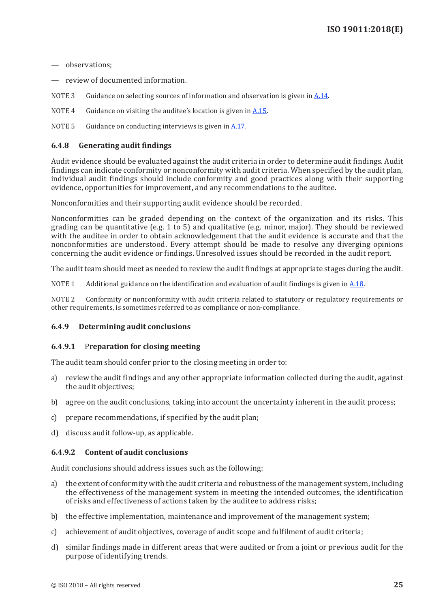<span id="page-32-0"></span>— observations;

— review of documented information.

NOTE 3 Guidance on selecting sources of information and observation is given in [A.14](#page-48-1).

NOTE 4 Guidance on visiting the auditee's location is given in  $A.15$ .

NOTE 5 Guidance on conducting interviews is given in [A.17.](#page-50-1)

#### **6.4.8 Generating audit findings**

Audit evidence should be evaluated against the audit criteria in order to determine audit findings. Audit findings can indicate conformity or nonconformity with audit criteria. When specified by the audit plan, individual audit findings should include conformity and good practices along with their supporting evidence, opportunities for improvement, and any recommendations to the auditee.

Nonconformities and their supporting audit evidence should be recorded.

Nonconformities can be graded depending on the context of the organization and its risks. This grading can be quantitative (e.g. 1 to 5) and qualitative (e.g. minor, major). They should be reviewed with the auditee in order to obtain acknowledgement that the audit evidence is accurate and that the nonconformities are understood. Every attempt should be made to resolve any diverging opinions concerning the audit evidence or findings. Unresolved issues should be recorded in the audit report.

The audit team should meet as needed to review the audit findings at appropriate stages during the audit.

NOTE 1 Additional guidance on the identification and evaluation of audit findings is given in [A.18.](#page-51-0)

NOTE 2 Conformity or nonconformity with audit criteria related to statutory or regulatory requirements or other requirements, is sometimes referred to as compliance or non-compliance.

#### **6.4.9 Determining audit conclusions**

#### **6.4.9.1** P**reparation for closing meeting**

The audit team should confer prior to the closing meeting in order to:

- a) review the audit findings and any other appropriate information collected during the audit, against the audit objectives;
- b) agree on the audit conclusions, taking into account the uncertainty inherent in the audit process;
- c) prepare recommendations, if specified by the audit plan;
- d) discuss audit follow-up, as applicable.

#### **6.4.9.2 Content of audit conclusions**

Audit conclusions should address issues such as the following:

- a) the extent of conformity with the audit criteria and robustness of the management system, including the effectiveness of the management system in meeting the intended outcomes, the identification of risks and effectiveness of actions taken by the auditee to address risks;
- b) the effective implementation, maintenance and improvement of the management system;
- c) achievement of audit objectives, coverage of audit scope and fulfilment of audit criteria;
- d) similar findings made in different areas that were audited or from a joint or previous audit for the purpose of identifying trends.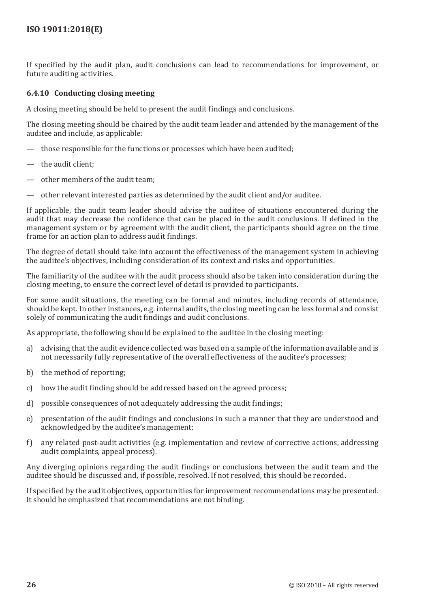<span id="page-33-0"></span>If specified by the audit plan, audit conclusions can lead to recommendations for improvement, or future auditing activities.

## **6.4.10 Conducting closing meeting**

A closing meeting should be held to present the audit findings and conclusions.

The closing meeting should be chaired by the audit team leader and attended by the management of the auditee and include, as applicable:

- those responsible for the functions or processes which have been audited;
- the audit client;
- other members of the audit team;
- other relevant interested parties as determined by the audit client and/or auditee.

If applicable, the audit team leader should advise the auditee of situations encountered during the audit that may decrease the confidence that can be placed in the audit conclusions. If defined in the management system or by agreement with the audit client, the participants should agree on the time frame for an action plan to address audit findings.

The degree of detail should take into account the effectiveness of the management system in achieving the auditee's objectives, including consideration of its context and risks and opportunities.

The familiarity of the auditee with the audit process should also be taken into consideration during the closing meeting, to ensure the correct level of detail is provided to participants.

For some audit situations, the meeting can be formal and minutes, including records of attendance, should be kept. In other instances, e.g. internal audits, the closing meeting can be less formal and consist solely of communicating the audit findings and audit conclusions.

As appropriate, the following should be explained to the auditee in the closing meeting:

- a) advising that the audit evidence collected was based on a sample of the information available and is not necessarily fully representative of the overall effectiveness of the auditee's processes;
- b) the method of reporting;
- c) how the audit finding should be addressed based on the agreed process;
- d) possible consequences of not adequately addressing the audit findings;
- e) presentation of the audit findings and conclusions in such a manner that they are understood and acknowledged by the auditee's management;
- f) any related post-audit activities (e.g. implementation and review of corrective actions, addressing audit complaints, appeal process).

Any diverging opinions regarding the audit findings or conclusions between the audit team and the auditee should be discussed and, if possible, resolved. If not resolved, this should be recorded.

If specified by the audit objectives, opportunities for improvement recommendations may be presented. It should be emphasized that recommendations are not binding.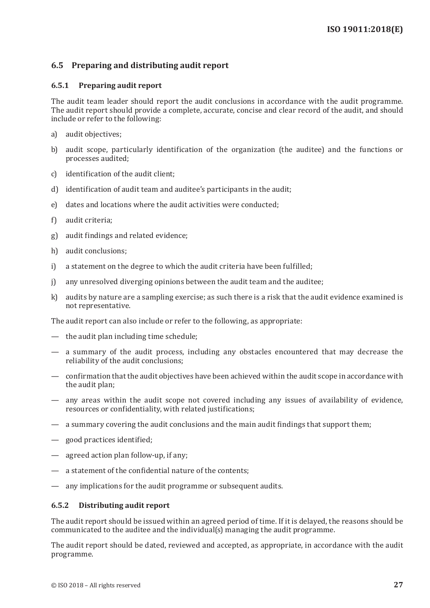## <span id="page-34-0"></span>**6.5 Preparing and distributing audit report**

#### **6.5.1 Preparing audit report**

The audit team leader should report the audit conclusions in accordance with the audit programme. The audit report should provide a complete, accurate, concise and clear record of the audit, and should include or refer to the following:

- a) audit objectives;
- b) audit scope, particularly identification of the organization (the auditee) and the functions or processes audited;
- c) identification of the audit client;
- d) identification of audit team and auditee's participants in the audit;
- e) dates and locations where the audit activities were conducted;
- f) audit criteria;
- g) audit findings and related evidence;
- h) audit conclusions;
- i) a statement on the degree to which the audit criteria have been fulfilled;
- j) any unresolved diverging opinions between the audit team and the auditee;
- k) audits by nature are a sampling exercise; as such there is a risk that the audit evidence examined is not representative.

The audit report can also include or refer to the following, as appropriate:

- the audit plan including time schedule;
- a summary of the audit process, including any obstacles encountered that may decrease the reliability of the audit conclusions;
- confirmation that the audit objectives have been achieved within the audit scope in accordance with the audit plan;
- any areas within the audit scope not covered including any issues of availability of evidence, resources or confidentiality, with related justifications;
- a summary covering the audit conclusions and the main audit findings that support them;
- good practices identified;
- agreed action plan follow-up, if any;
- a statement of the confidential nature of the contents;
- any implications for the audit programme or subsequent audits.

#### **6.5.2 Distributing audit report**

The audit report should be issued within an agreed period of time. If it is delayed, the reasons should be communicated to the auditee and the individual(s) managing the audit programme.

The audit report should be dated, reviewed and accepted, as appropriate, in accordance with the audit programme.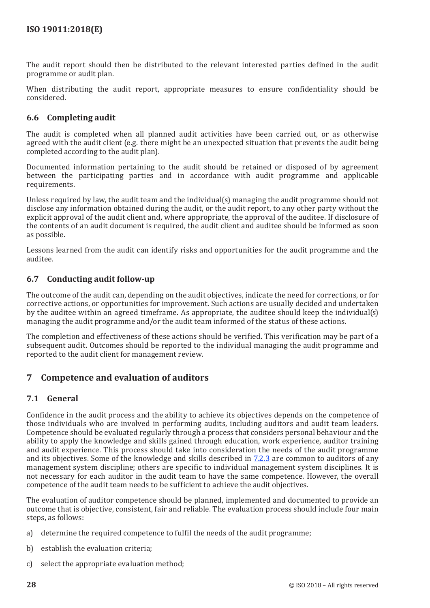<span id="page-35-0"></span>The audit report should then be distributed to the relevant interested parties defined in the audit programme or audit plan.

When distributing the audit report, appropriate measures to ensure confidentiality should be considered.

## <span id="page-35-2"></span>**6.6 Completing audit**

The audit is completed when all planned audit activities have been carried out, or as otherwise agreed with the audit client (e.g. there might be an unexpected situation that prevents the audit being completed according to the audit plan).

Documented information pertaining to the audit should be retained or disposed of by agreement between the participating parties and in accordance with audit programme and applicable requirements.

Unless required by law, the audit team and the individual(s) managing the audit programme should not disclose any information obtained during the audit, or the audit report, to any other party without the explicit approval of the audit client and, where appropriate, the approval of the auditee. If disclosure of the contents of an audit document is required, the audit client and auditee should be informed as soon as possible.

Lessons learned from the audit can identify risks and opportunities for the audit programme and the auditee.

## **6.7 Conducting audit follow-up**

The outcome of the audit can, depending on the audit objectives, indicate the need for corrections, or for corrective actions, or opportunities for improvement. Such actions are usually decided and undertaken by the auditee within an agreed timeframe. As appropriate, the auditee should keep the individual(s) managing the audit programme and/or the audit team informed of the status of these actions.

The completion and effectiveness of these actions should be verified. This verification may be part of a subsequent audit. Outcomes should be reported to the individual managing the audit programme and reported to the audit client for management review.

# <span id="page-35-1"></span>**7 Competence and evaluation of auditors**

## <span id="page-35-3"></span>**7.1 General**

Confidence in the audit process and the ability to achieve its objectives depends on the competence of those individuals who are involved in performing audits, including auditors and audit team leaders. Competence should be evaluated regularly through a process that considers personal behaviour and the ability to apply the knowledge and skills gained through education, work experience, auditor training and audit experience. This process should take into consideration the needs of the audit programme and its objectives. Some of the knowledge and skills described in [7.2.3](#page-37-1) are common to auditors of any management system discipline; others are specific to individual management system disciplines. It is not necessary for each auditor in the audit team to have the same competence. However, the overall competence of the audit team needs to be sufficient to achieve the audit objectives.

The evaluation of auditor competence should be planned, implemented and documented to provide an outcome that is objective, consistent, fair and reliable. The evaluation process should include four main steps, as follows:

- a) determine the required competence to fulfil the needs of the audit programme;
- b) establish the evaluation criteria;
- c) select the appropriate evaluation method;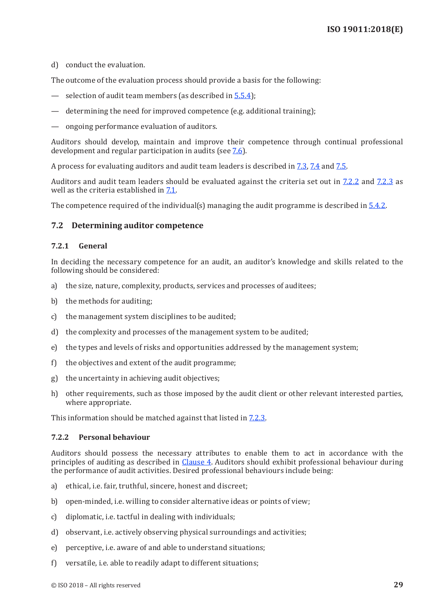<span id="page-36-0"></span>d) conduct the evaluation.

The outcome of the evaluation process should provide a basis for the following:

- selection of audit team members (as described in  $\frac{5 \cdot 5 \cdot 4}{2}$ );
- determining the need for improved competence (e.g. additional training);
- ongoing performance evaluation of auditors.

Auditors should develop, maintain and improve their competence through continual professional development and regular participation in audits (see [7.6\)](#page-41-1).

A process for evaluating auditors and audit team leaders is described in [7.3](#page-40-1), [7.4](#page-40-2) and [7.5.](#page-40-3)

Auditors and audit team leaders should be evaluated against the criteria set out in  $7.2.2$  and  $7.2.3$  as well as the criteria established in [7.1](#page-35-3).

The competence required of the individual(s) managing the audit programme is described in  $5.4.2$ .

## **7.2 Determining auditor competence**

#### **7.2.1 General**

In deciding the necessary competence for an audit, an auditor's knowledge and skills related to the following should be considered:

- a) the size, nature, complexity, products, services and processes of auditees;
- b) the methods for auditing;
- c) the management system disciplines to be audited;
- d) the complexity and processes of the management system to be audited;
- e) the types and levels of risks and opportunities addressed by the management system;
- f) the objectives and extent of the audit programme;
- g) the uncertainty in achieving audit objectives;
- h) other requirements, such as those imposed by the audit client or other relevant interested parties, where appropriate.

This information should be matched against that listed in [7.2.3.](#page-37-1)

#### <span id="page-36-1"></span>**7.2.2 Personal behaviour**

Auditors should possess the necessary attributes to enable them to act in accordance with the principles of auditing as described in [Clause](#page-12-3) 4. Auditors should exhibit professional behaviour during the performance of audit activities. Desired professional behaviours include being:

- a) ethical, i.e. fair, truthful, sincere, honest and discreet;
- b) open-minded, i.e. willing to consider alternative ideas or points of view;
- c) diplomatic, i.e. tactful in dealing with individuals;
- d) observant, i.e. actively observing physical surroundings and activities;
- e) perceptive, i.e. aware of and able to understand situations;
- f) versatile, i.e. able to readily adapt to different situations;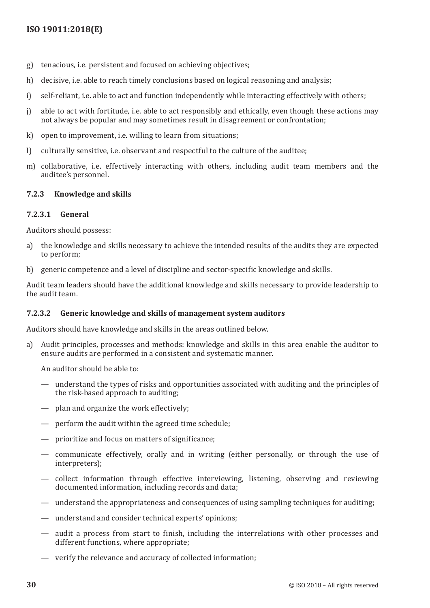- <span id="page-37-0"></span>g) tenacious, i.e. persistent and focused on achieving objectives;
- h) decisive, i.e. able to reach timely conclusions based on logical reasoning and analysis;
- i) self-reliant, i.e. able to act and function independently while interacting effectively with others;
- j) able to act with fortitude, i.e. able to act responsibly and ethically, even though these actions may not always be popular and may sometimes result in disagreement or confrontation;
- k) open to improvement, i.e. willing to learn from situations;
- l) culturally sensitive, i.e. observant and respectful to the culture of the auditee;
- m) collaborative, i.e. effectively interacting with others, including audit team members and the auditee's personnel.

## <span id="page-37-1"></span>**7.2.3 Knowledge and skills**

## **7.2.3.1 General**

Auditors should possess:

- a) the knowledge and skills necessary to achieve the intended results of the audits they are expected to perform;
- b) generic competence and a level of discipline and sector-specific knowledge and skills.

Audit team leaders should have the additional knowledge and skills necessary to provide leadership to the audit team.

#### **7.2.3.2 Generic knowledge and skills of management system auditors**

Auditors should have knowledge and skills in the areas outlined below.

a) Audit principles, processes and methods: knowledge and skills in this area enable the auditor to ensure audits are performed in a consistent and systematic manner.

An auditor should be able to:

- understand the types of risks and opportunities associated with auditing and the principles of the risk-based approach to auditing;
- plan and organize the work effectively;
- perform the audit within the agreed time schedule;
- prioritize and focus on matters of significance;
- communicate effectively, orally and in writing (either personally, or through the use of interpreters);
- collect information through effective interviewing, listening, observing and reviewing documented information, including records and data;
- understand the appropriateness and consequences of using sampling techniques for auditing;
- understand and consider technical experts' opinions;
- audit a process from start to finish, including the interrelations with other processes and different functions, where appropriate;
- verify the relevance and accuracy of collected information;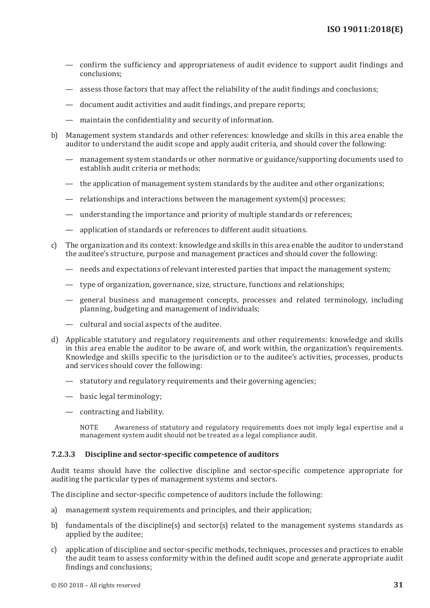- confirm the sufficiency and appropriateness of audit evidence to support audit findings and conclusions;
- assess those factors that may affect the reliability of the audit findings and conclusions;
- document audit activities and audit findings, and prepare reports;
- maintain the confidentiality and security of information.
- b) Management system standards and other references: knowledge and skills in this area enable the auditor to understand the audit scope and apply audit criteria, and should cover the following:
	- management system standards or other normative or guidance/supporting documents used to establish audit criteria or methods;
	- the application of management system standards by the auditee and other organizations;
	- relationships and interactions between the management system(s) processes;
	- understanding the importance and priority of multiple standards or references;
	- application of standards or references to different audit situations.
- c) The organization and its context: knowledge and skills in this area enable the auditor to understand the auditee's structure, purpose and management practices and should cover the following:
	- needs and expectations of relevant interested parties that impact the management system;
	- type of organization, governance, size, structure, functions and relationships;
	- general business and management concepts, processes and related terminology, including planning, budgeting and management of individuals;
	- cultural and social aspects of the auditee.
- d) Applicable statutory and regulatory requirements and other requirements: knowledge and skills in this area enable the auditor to be aware of, and work within, the organization's requirements. Knowledge and skills specific to the jurisdiction or to the auditee's activities, processes, products and services should cover the following:
	- statutory and regulatory requirements and their governing agencies;
	- basic legal terminology;
	- contracting and liability.

NOTE Awareness of statutory and regulatory requirements does not imply legal expertise and a management system audit should not be treated as a legal compliance audit.

#### **7.2.3.3 Discipline and sector-specific competence of auditors**

Audit teams should have the collective discipline and sector-specific competence appropriate for auditing the particular types of management systems and sectors.

The discipline and sector-specific competence of auditors include the following:

- a) management system requirements and principles, and their application;
- b) fundamentals of the discipline(s) and sector(s) related to the management systems standards as applied by the auditee;
- c) application of discipline and sector-specific methods, techniques, processes and practices to enable the audit team to assess conformity within the defined audit scope and generate appropriate audit findings and conclusions;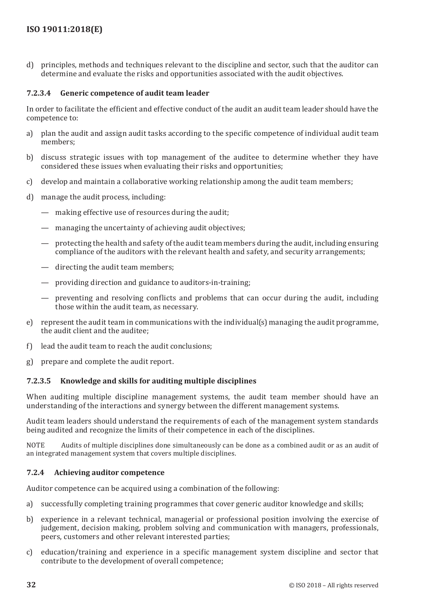<span id="page-39-0"></span>d) principles, methods and techniques relevant to the discipline and sector, such that the auditor can determine and evaluate the risks and opportunities associated with the audit objectives.

## <span id="page-39-1"></span>**7.2.3.4 Generic competence of audit team leader**

In order to facilitate the efficient and effective conduct of the audit an audit team leader should have the competence to:

- a) plan the audit and assign audit tasks according to the specific competence of individual audit team members;
- b) discuss strategic issues with top management of the auditee to determine whether they have considered these issues when evaluating their risks and opportunities;
- c) develop and maintain a collaborative working relationship among the audit team members;
- d) manage the audit process, including:
	- making effective use of resources during the audit;
	- managing the uncertainty of achieving audit objectives;
	- protecting the health and safety of the audit team members during the audit, including ensuring compliance of the auditors with the relevant health and safety, and security arrangements;
	- directing the audit team members;
	- providing direction and guidance to auditors-in-training;
	- preventing and resolving conflicts and problems that can occur during the audit, including those within the audit team, as necessary.
- e) represent the audit team in communications with the individual(s) managing the audit programme, the audit client and the auditee;
- f) lead the audit team to reach the audit conclusions;
- g) prepare and complete the audit report.

## **7.2.3.5 Knowledge and skills for auditing multiple disciplines**

When auditing multiple discipline management systems, the audit team member should have an understanding of the interactions and synergy between the different management systems.

Audit team leaders should understand the requirements of each of the management system standards being audited and recognize the limits of their competence in each of the disciplines.

NOTE Audits of multiple disciplines done simultaneously can be done as a combined audit or as an audit of an integrated management system that covers multiple disciplines.

#### **7.2.4 Achieving auditor competence**

Auditor competence can be acquired using a combination of the following:

- a) successfully completing training programmes that cover generic auditor knowledge and skills;
- b) experience in a relevant technical, managerial or professional position involving the exercise of judgement, decision making, problem solving and communication with managers, professionals, peers, customers and other relevant interested parties;
- c) education/training and experience in a specific management system discipline and sector that contribute to the development of overall competence;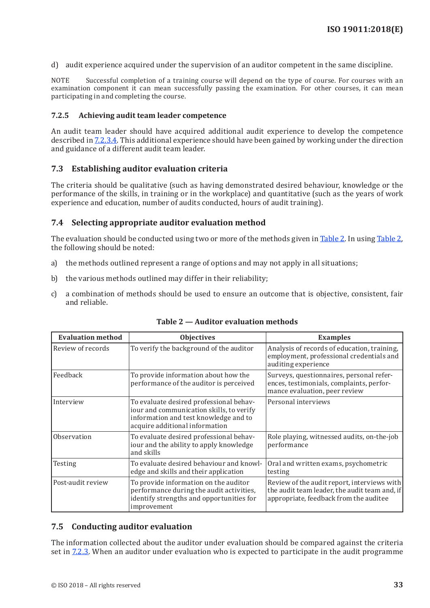<span id="page-40-0"></span>d) audit experience acquired under the supervision of an auditor competent in the same discipline.

NOTE Successful completion of a training course will depend on the type of course. For courses with an examination component it can mean successfully passing the examination. For other courses, it can mean participating in and completing the course.

### **7.2.5 Achieving audit team leader competence**

An audit team leader should have acquired additional audit experience to develop the competence described in [7.2.3.4](#page-39-1). This additional experience should have been gained by working under the direction and guidance of a different audit team leader.

## <span id="page-40-1"></span>**7.3 Establishing auditor evaluation criteria**

The criteria should be qualitative (such as having demonstrated desired behaviour, knowledge or the performance of the skills, in training or in the workplace) and quantitative (such as the years of work experience and education, number of audits conducted, hours of audit training).

## <span id="page-40-2"></span>**7.4 Selecting appropriate auditor evaluation method**

The evaluation should be conducted using two or more of the methods given in [Table](#page-40-4) 2. In using [Table](#page-40-4) 2, the following should be noted:

- a) the methods outlined represent a range of options and may not apply in all situations;
- b) the various methods outlined may differ in their reliability;
- c) a combination of methods should be used to ensure an outcome that is objective, consistent, fair and reliable.

| <b>Evaluation method</b> | <b>Objectives</b>                                                                                                                                              | <b>Examples</b>                                                                                                                        |
|--------------------------|----------------------------------------------------------------------------------------------------------------------------------------------------------------|----------------------------------------------------------------------------------------------------------------------------------------|
| Review of records        | To verify the background of the auditor                                                                                                                        | Analysis of records of education, training,<br>employment, professional credentials and<br>auditing experience                         |
| Feedback                 | To provide information about how the<br>performance of the auditor is perceived                                                                                | Surveys, questionnaires, personal refer-<br>ences, testimonials, complaints, perfor-<br>mance evaluation, peer review                  |
| Interview                | To evaluate desired professional behav-<br>iour and communication skills, to verify<br>information and test knowledge and to<br>acquire additional information | Personal interviews                                                                                                                    |
| Observation              | To evaluate desired professional behav-<br>iour and the ability to apply knowledge<br>and skills                                                               | Role playing, witnessed audits, on-the-job<br>performance                                                                              |
| Testing                  | To evaluate desired behaviour and knowl-<br>edge and skills and their application                                                                              | Oral and written exams, psychometric<br>testing                                                                                        |
| Post-audit review        | To provide information on the auditor<br>performance during the audit activities,<br>identify strengths and opportunities for<br>improvement                   | Review of the audit report, interviews with<br>the audit team leader, the audit team and, if<br>appropriate, feedback from the auditee |

#### <span id="page-40-4"></span>**Table 2 — Auditor evaluation methods**

#### <span id="page-40-3"></span>**7.5 Conducting auditor evaluation**

The information collected about the auditor under evaluation should be compared against the criteria set in [7.2.3](#page-37-1). When an auditor under evaluation who is expected to participate in the audit programme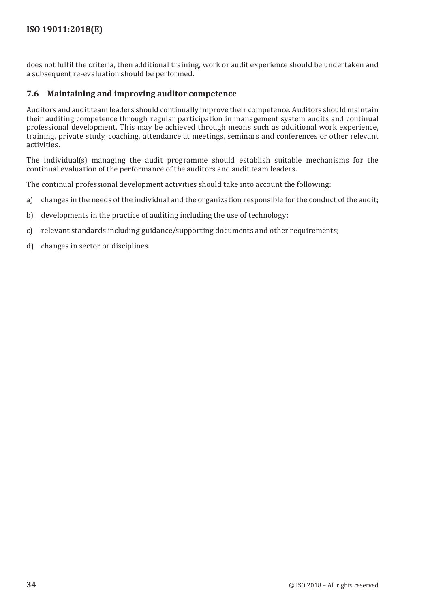<span id="page-41-0"></span>does not fulfil the criteria, then additional training, work or audit experience should be undertaken and a subsequent re-evaluation should be performed.

## <span id="page-41-1"></span>**7.6 Maintaining and improving auditor competence**

Auditors and audit team leaders should continually improve their competence. Auditors should maintain their auditing competence through regular participation in management system audits and continual professional development. This may be achieved through means such as additional work experience, training, private study, coaching, attendance at meetings, seminars and conferences or other relevant activities.

The individual(s) managing the audit programme should establish suitable mechanisms for the continual evaluation of the performance of the auditors and audit team leaders.

The continual professional development activities should take into account the following:

- a) changes in the needs of the individual and the organization responsible for the conduct of the audit;
- b) developments in the practice of auditing including the use of technology;
- c) relevant standards including guidance/supporting documents and other requirements;
- d) changes in sector or disciplines.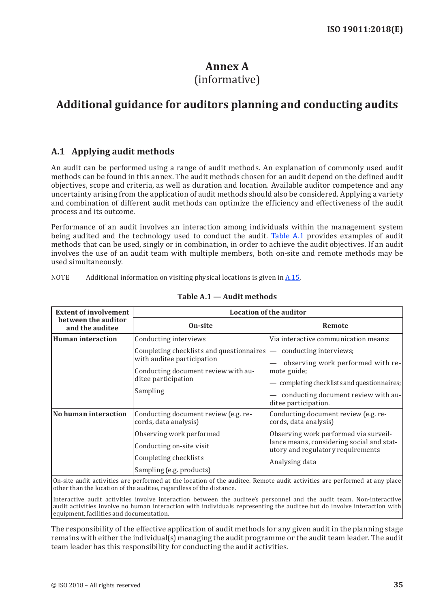# <span id="page-42-1"></span>**Annex A** (informative)

# <span id="page-42-0"></span>**Additional guidance for auditors planning and conducting audits**

# <span id="page-42-2"></span>**A.1 Applying audit methods**

An audit can be performed using a range of audit methods. An explanation of commonly used audit methods can be found in this annex. The audit methods chosen for an audit depend on the defined audit objectives, scope and criteria, as well as duration and location. Available auditor competence and any uncertainty arising from the application of audit methods should also be considered. Applying a variety and combination of different audit methods can optimize the efficiency and effectiveness of the audit process and its outcome.

Performance of an audit involves an interaction among individuals within the management system being audited and the technology used to conduct the audit. [Table](#page-42-3) A.1 provides examples of audit methods that can be used, singly or in combination, in order to achieve the audit objectives. If an audit involves the use of an audit team with multiple members, both on-site and remote methods may be used simultaneously.

NOTE Additional information on visiting physical locations is given in [A.15](#page-48-2).

| <b>Extent of involvement</b>           | <b>Location of the auditor</b>                                                                                                                                             |                                                                                                                                                                                                                                |  |
|----------------------------------------|----------------------------------------------------------------------------------------------------------------------------------------------------------------------------|--------------------------------------------------------------------------------------------------------------------------------------------------------------------------------------------------------------------------------|--|
| between the auditor<br>and the auditee | On-site                                                                                                                                                                    | Remote                                                                                                                                                                                                                         |  |
| Human interaction                      | Conducting interviews<br>Completing checklists and questionnaires<br>with auditee participation<br>Conducting document review with au-<br>ditee participation<br>Sampling  | Via interactive communication means:<br>conducting interviews;<br>observing work performed with re-<br>mote guide;<br>completing checklists and questionnaires;<br>conducting document review with au-<br>ditee participation. |  |
| No human interaction                   | Conducting document review (e.g. re-<br>cords, data analysis)<br>Observing work performed<br>Conducting on-site visit<br>Completing checklists<br>Sampling (e.g. products) | Conducting document review (e.g. re-<br>cords, data analysis)<br>Observing work performed via surveil-<br>lance means, considering social and stat-<br>utory and regulatory requirements<br>Analysing data                     |  |

#### <span id="page-42-3"></span>**Table A.1 — Audit methods**

On-site audit activities are performed at the location of the auditee. Remote audit activities are performed at any place other than the location of the auditee, regardless of the distance.

Interactive audit activities involve interaction between the auditee's personnel and the audit team. Non-interactive audit activities involve no human interaction with individuals representing the auditee but do involve interaction with equipment, facilities and documentation.

The responsibility of the effective application of audit methods for any given audit in the planning stage remains with either the individual(s) managing the audit programme or the audit team leader. The audit team leader has this responsibility for conducting the audit activities.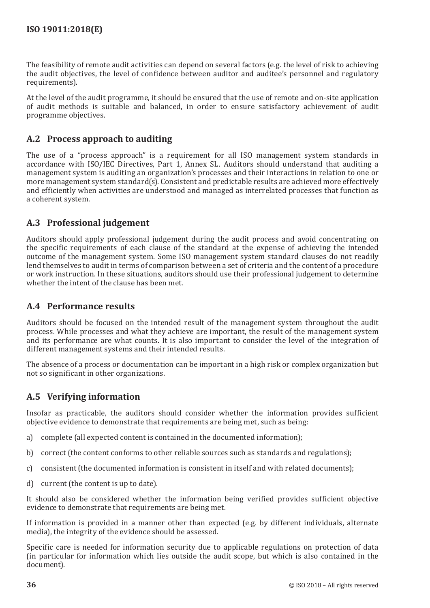The feasibility of remote audit activities can depend on several factors (e.g. the level of risk to achieving the audit objectives, the level of confidence between auditor and auditee's personnel and regulatory requirements).

At the level of the audit programme, it should be ensured that the use of remote and on-site application of audit methods is suitable and balanced, in order to ensure satisfactory achievement of audit programme objectives.

# <span id="page-43-0"></span>**A.2 Process approach to auditing**

The use of a "process approach" is a requirement for all ISO management system standards in accordance with ISO/IEC Directives, Part 1, Annex SL. Auditors should understand that auditing a management system is auditing an organization's processes and their interactions in relation to one or more management system standard(s). Consistent and predictable results are achieved more effectively and efficiently when activities are understood and managed as interrelated processes that function as a coherent system.

# **A.3 Professional judgement**

Auditors should apply professional judgement during the audit process and avoid concentrating on the specific requirements of each clause of the standard at the expense of achieving the intended outcome of the management system. Some ISO management system standard clauses do not readily lend themselves to audit in terms of comparison between a set of criteria and the content of a procedure or work instruction. In these situations, auditors should use their professional judgement to determine whether the intent of the clause has been met.

# **A.4 Performance results**

Auditors should be focused on the intended result of the management system throughout the audit process. While processes and what they achieve are important, the result of the management system and its performance are what counts. It is also important to consider the level of the integration of different management systems and their intended results.

The absence of a process or documentation can be important in a high risk or complex organization but not so significant in other organizations.

# <span id="page-43-1"></span>**A.5 Verifying information**

Insofar as practicable, the auditors should consider whether the information provides sufficient objective evidence to demonstrate that requirements are being met, such as being:

- a) complete (all expected content is contained in the documented information);
- b) correct (the content conforms to other reliable sources such as standards and regulations);
- c) consistent (the documented information is consistent in itself and with related documents);
- d) current (the content is up to date).

It should also be considered whether the information being verified provides sufficient objective evidence to demonstrate that requirements are being met.

If information is provided in a manner other than expected (e.g. by different individuals, alternate media), the integrity of the evidence should be assessed.

Specific care is needed for information security due to applicable regulations on protection of data (in particular for information which lies outside the audit scope, but which is also contained in the document).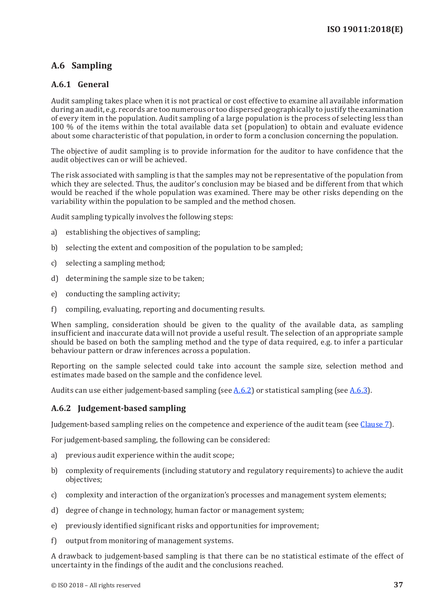# <span id="page-44-0"></span>**A.6 Sampling**

## **A.6.1 General**

Audit sampling takes place when it is not practical or cost effective to examine all available information during an audit, e.g. records are too numerous or too dispersed geographically to justify the examination of every item in the population. Audit sampling of a large population is the process of selecting less than 100 % of the items within the total available data set (population) to obtain and evaluate evidence about some characteristic of that population, in order to form a conclusion concerning the population.

The objective of audit sampling is to provide information for the auditor to have confidence that the audit objectives can or will be achieved.

The risk associated with sampling is that the samples may not be representative of the population from which they are selected. Thus, the auditor's conclusion may be biased and be different from that which would be reached if the whole population was examined. There may be other risks depending on the variability within the population to be sampled and the method chosen.

Audit sampling typically involves the following steps:

- a) establishing the objectives of sampling;
- b) selecting the extent and composition of the population to be sampled;
- c) selecting a sampling method;
- d) determining the sample size to be taken;
- e) conducting the sampling activity;
- f) compiling, evaluating, reporting and documenting results.

When sampling, consideration should be given to the quality of the available data, as sampling insufficient and inaccurate data will not provide a useful result. The selection of an appropriate sample should be based on both the sampling method and the type of data required, e.g. to infer a particular behaviour pattern or draw inferences across a population.

Reporting on the sample selected could take into account the sample size, selection method and estimates made based on the sample and the confidence level.

Audits can use either judgement-based sampling (see  $A.6.2$ ) or statistical sampling (see  $A.6.3$ ).

## <span id="page-44-1"></span>**A.6.2 Judgement-based sampling**

Judgement-based sampling relies on the competence and experience of the audit team (see [Clause](#page-35-1) 7).

For judgement-based sampling, the following can be considered:

- a) previous audit experience within the audit scope;
- b) complexity of requirements (including statutory and regulatory requirements) to achieve the audit objectives;
- c) complexity and interaction of the organization's processes and management system elements;
- d) degree of change in technology, human factor or management system;
- e) previously identified significant risks and opportunities for improvement;
- f) output from monitoring of management systems.

A drawback to judgement-based sampling is that there can be no statistical estimate of the effect of uncertainty in the findings of the audit and the conclusions reached.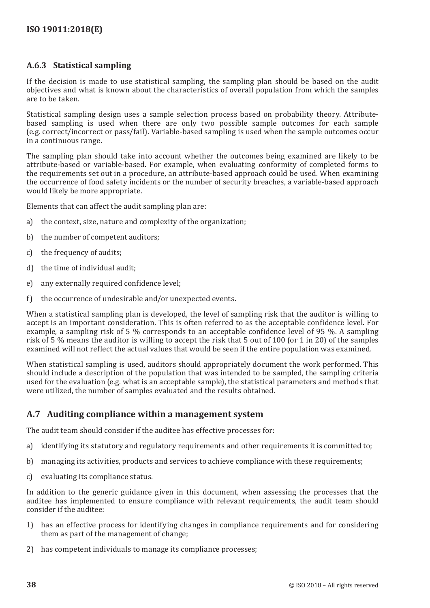## <span id="page-45-0"></span>**A.6.3 Statistical sampling**

If the decision is made to use statistical sampling, the sampling plan should be based on the audit objectives and what is known about the characteristics of overall population from which the samples are to be taken.

Statistical sampling design uses a sample selection process based on probability theory. Attributebased sampling is used when there are only two possible sample outcomes for each sample (e.g. correct/incorrect or pass/fail). Variable-based sampling is used when the sample outcomes occur in a continuous range.

The sampling plan should take into account whether the outcomes being examined are likely to be attribute-based or variable-based. For example, when evaluating conformity of completed forms to the requirements set out in a procedure, an attribute-based approach could be used. When examining the occurrence of food safety incidents or the number of security breaches, a variable-based approach would likely be more appropriate.

Elements that can affect the audit sampling plan are:

- a) the context, size, nature and complexity of the organization;
- b) the number of competent auditors;
- c) the frequency of audits;
- d) the time of individual audit;
- e) any externally required confidence level;
- f) the occurrence of undesirable and/or unexpected events.

When a statistical sampling plan is developed, the level of sampling risk that the auditor is willing to accept is an important consideration. This is often referred to as the acceptable confidence level. For example, a sampling risk of 5 % corresponds to an acceptable confidence level of 95 %. A sampling risk of 5 % means the auditor is willing to accept the risk that 5 out of 100 (or 1 in 20) of the samples examined will not reflect the actual values that would be seen if the entire population was examined.

When statistical sampling is used, auditors should appropriately document the work performed. This should include a description of the population that was intended to be sampled, the sampling criteria used for the evaluation (e.g. what is an acceptable sample), the statistical parameters and methods that were utilized, the number of samples evaluated and the results obtained.

## **A.7 Auditing compliance within a management system**

The audit team should consider if the auditee has effective processes for:

- a) identifying its statutory and regulatory requirements and other requirements it is committed to;
- b) managing its activities, products and services to achieve compliance with these requirements;
- c) evaluating its compliance status.

In addition to the generic guidance given in this document, when assessing the processes that the auditee has implemented to ensure compliance with relevant requirements, the audit team should consider if the auditee:

- 1) has an effective process for identifying changes in compliance requirements and for considering them as part of the management of change;
- 2) has competent individuals to manage its compliance processes;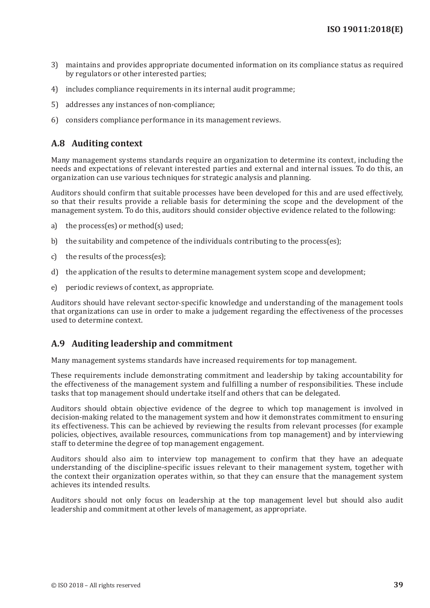- 3) maintains and provides appropriate documented information on its compliance status as required by regulators or other interested parties;
- 4) includes compliance requirements in its internal audit programme;
- 5) addresses any instances of non-compliance;
- 6) considers compliance performance in its management reviews.

# **A.8 Auditing context**

Many management systems standards require an organization to determine its context, including the needs and expectations of relevant interested parties and external and internal issues. To do this, an organization can use various techniques for strategic analysis and planning.

Auditors should confirm that suitable processes have been developed for this and are used effectively, so that their results provide a reliable basis for determining the scope and the development of the management system. To do this, auditors should consider objective evidence related to the following:

- a) the process(es) or method(s) used;
- b) the suitability and competence of the individuals contributing to the process(es);
- c) the results of the process(es);
- d) the application of the results to determine management system scope and development;
- e) periodic reviews of context, as appropriate.

Auditors should have relevant sector-specific knowledge and understanding of the management tools that organizations can use in order to make a judgement regarding the effectiveness of the processes used to determine context.

# **A.9 Auditing leadership and commitment**

Many management systems standards have increased requirements for top management.

These requirements include demonstrating commitment and leadership by taking accountability for the effectiveness of the management system and fulfilling a number of responsibilities. These include tasks that top management should undertake itself and others that can be delegated.

Auditors should obtain objective evidence of the degree to which top management is involved in decision-making related to the management system and how it demonstrates commitment to ensuring its effectiveness. This can be achieved by reviewing the results from relevant processes (for example policies, objectives, available resources, communications from top management) and by interviewing staff to determine the degree of top management engagement.

Auditors should also aim to interview top management to confirm that they have an adequate understanding of the discipline-specific issues relevant to their management system, together with the context their organization operates within, so that they can ensure that the management system achieves its intended results.

Auditors should not only focus on leadership at the top management level but should also audit leadership and commitment at other levels of management, as appropriate.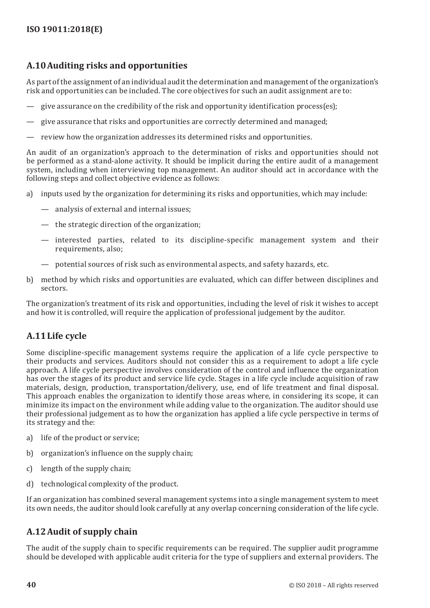# **A.10Auditing risks and opportunities**

As part of the assignment of an individual audit the determination and management of the organization's risk and opportunities can be included. The core objectives for such an audit assignment are to:

- give assurance on the credibility of the risk and opportunity identification process(es);
- give assurance that risks and opportunities are correctly determined and managed;
- review how the organization addresses its determined risks and opportunities.

An audit of an organization's approach to the determination of risks and opportunities should not be performed as a stand-alone activity. It should be implicit during the entire audit of a management system, including when interviewing top management. An auditor should act in accordance with the following steps and collect objective evidence as follows:

- a) inputs used by the organization for determining its risks and opportunities, which may include:
	- analysis of external and internal issues;
	- the strategic direction of the organization;
	- interested parties, related to its discipline-specific management system and their requirements, also;
	- potential sources of risk such as environmental aspects, and safety hazards, etc.
- b) method by which risks and opportunities are evaluated, which can differ between disciplines and sectors.

The organization's treatment of its risk and opportunities, including the level of risk it wishes to accept and how it is controlled, will require the application of professional judgement by the auditor.

# **A.11Life cycle**

Some discipline-specific management systems require the application of a life cycle perspective to their products and services. Auditors should not consider this as a requirement to adopt a life cycle approach. A life cycle perspective involves consideration of the control and influence the organization has over the stages of its product and service life cycle. Stages in a life cycle include acquisition of raw materials, design, production, transportation/delivery, use, end of life treatment and final disposal. This approach enables the organization to identify those areas where, in considering its scope, it can minimize its impact on the environment while adding value to the organization. The auditor should use their professional judgement as to how the organization has applied a life cycle perspective in terms of its strategy and the:

- a) life of the product or service;
- b) organization's influence on the supply chain;
- c) length of the supply chain;
- d) technological complexity of the product.

If an organization has combined several management systems into a single management system to meet its own needs, the auditor should look carefully at any overlap concerning consideration of the life cycle.

# **A.12Audit of supply chain**

The audit of the supply chain to specific requirements can be required. The supplier audit programme should be developed with applicable audit criteria for the type of suppliers and external providers. The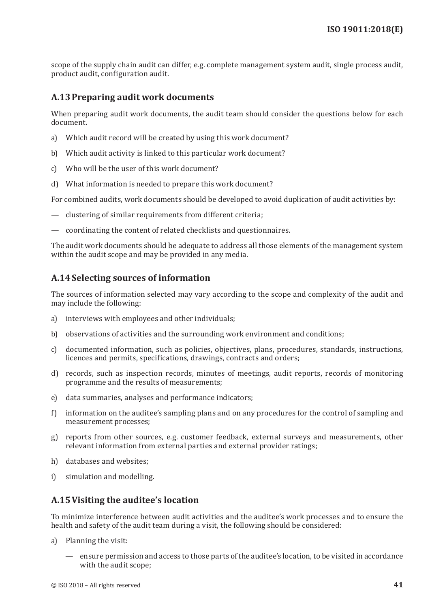scope of the supply chain audit can differ, e.g. complete management system audit, single process audit, product audit, configuration audit.

# <span id="page-48-0"></span>**A.13Preparing audit work documents**

When preparing audit work documents, the audit team should consider the questions below for each document.

- a) Which audit record will be created by using this work document?
- b) Which audit activity is linked to this particular work document?
- c) Who will be the user of this work document?
- d) What information is needed to prepare this work document?

For combined audits, work documents should be developed to avoid duplication of audit activities by:

- clustering of similar requirements from different criteria;
- coordinating the content of related checklists and questionnaires.

The audit work documents should be adequate to address all those elements of the management system within the audit scope and may be provided in any media.

# <span id="page-48-1"></span>**A.14Selecting sources of information**

The sources of information selected may vary according to the scope and complexity of the audit and may include the following:

- a) interviews with employees and other individuals;
- b) observations of activities and the surrounding work environment and conditions;
- c) documented information, such as policies, objectives, plans, procedures, standards, instructions, licences and permits, specifications, drawings, contracts and orders;
- d) records, such as inspection records, minutes of meetings, audit reports, records of monitoring programme and the results of measurements;
- e) data summaries, analyses and performance indicators;
- f) information on the auditee's sampling plans and on any procedures for the control of sampling and measurement processes;
- g) reports from other sources, e.g. customer feedback, external surveys and measurements, other relevant information from external parties and external provider ratings;
- h) databases and websites;
- i) simulation and modelling.

# <span id="page-48-2"></span>**A.15Visiting the auditee's location**

To minimize interference between audit activities and the auditee's work processes and to ensure the health and safety of the audit team during a visit, the following should be considered:

- a) Planning the visit:
	- ensure permission and access to those parts of the auditee's location, to be visited in accordance with the audit scope;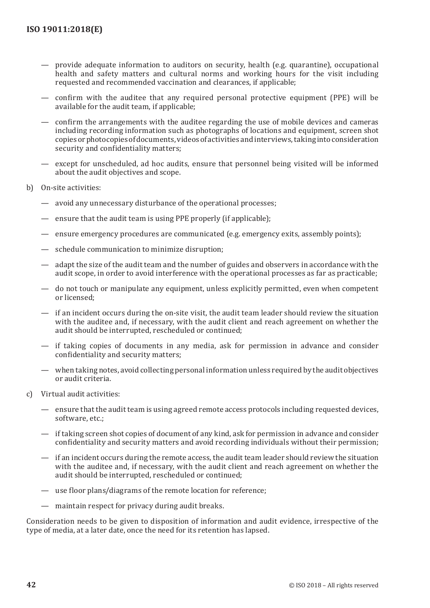- provide adequate information to auditors on security, health (e.g. quarantine), occupational health and safety matters and cultural norms and working hours for the visit including requested and recommended vaccination and clearances, if applicable;
- confirm with the auditee that any required personal protective equipment (PPE) will be available for the audit team, if applicable;
- confirm the arrangements with the auditee regarding the use of mobile devices and cameras including recording information such as photographs of locations and equipment, screen shot copies or photocopies of documents, videos of activities and interviews, taking into consideration security and confidentiality matters;
- except for unscheduled, ad hoc audits, ensure that personnel being visited will be informed about the audit objectives and scope.
- b) On-site activities:
	- avoid any unnecessary disturbance of the operational processes;
	- ensure that the audit team is using PPE properly (if applicable);
	- ensure emergency procedures are communicated (e.g. emergency exits, assembly points);
	- schedule communication to minimize disruption;
	- adapt the size of the audit team and the number of guides and observers in accordance with the audit scope, in order to avoid interference with the operational processes as far as practicable;
	- do not touch or manipulate any equipment, unless explicitly permitted, even when competent or licensed;
	- if an incident occurs during the on-site visit, the audit team leader should review the situation with the auditee and, if necessary, with the audit client and reach agreement on whether the audit should be interrupted, rescheduled or continued;
	- if taking copies of documents in any media, ask for permission in advance and consider confidentiality and security matters;
	- when taking notes, avoid collecting personal information unless required by the audit objectives or audit criteria.
- c) Virtual audit activities:
	- ensure that the audit team is using agreed remote access protocols including requested devices, software, etc.;
	- if taking screen shot copies of document of any kind, ask for permission in advance and consider confidentiality and security matters and avoid recording individuals without their permission;
	- if an incident occurs during the remote access, the audit team leader should review the situation with the auditee and, if necessary, with the audit client and reach agreement on whether the audit should be interrupted, rescheduled or continued;
	- use floor plans/diagrams of the remote location for reference;
	- maintain respect for privacy during audit breaks.

Consideration needs to be given to disposition of information and audit evidence, irrespective of the type of media, at a later date, once the need for its retention has lapsed.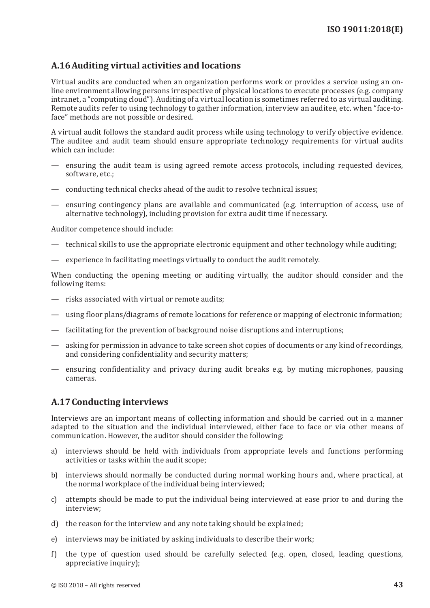# <span id="page-50-0"></span>**A.16Auditing virtual activities and locations**

Virtual audits are conducted when an organization performs work or provides a service using an online environment allowing persons irrespective of physical locations to execute processes (e.g. company intranet, a "computing cloud"). Auditing of a virtual location is sometimes referred to as virtual auditing. Remote audits refer to using technology to gather information, interview an auditee, etc. when "face-toface" methods are not possible or desired.

A virtual audit follows the standard audit process while using technology to verify objective evidence. The auditee and audit team should ensure appropriate technology requirements for virtual audits which can include:

- ensuring the audit team is using agreed remote access protocols, including requested devices, software, etc.;
- conducting technical checks ahead of the audit to resolve technical issues;
- ensuring contingency plans are available and communicated (e.g. interruption of access, use of alternative technology), including provision for extra audit time if necessary.

Auditor competence should include:

- technical skills to use the appropriate electronic equipment and other technology while auditing;
- experience in facilitating meetings virtually to conduct the audit remotely.

When conducting the opening meeting or auditing virtually, the auditor should consider and the following items:

- risks associated with virtual or remote audits;
- using floor plans/diagrams of remote locations for reference or mapping of electronic information;
- facilitating for the prevention of background noise disruptions and interruptions;
- asking for permission in advance to take screen shot copies of documents or any kind of recordings, and considering confidentiality and security matters;
- ensuring confidentiality and privacy during audit breaks e.g. by muting microphones, pausing cameras.

# <span id="page-50-1"></span>**A.17Conducting interviews**

Interviews are an important means of collecting information and should be carried out in a manner adapted to the situation and the individual interviewed, either face to face or via other means of communication. However, the auditor should consider the following:

- a) interviews should be held with individuals from appropriate levels and functions performing activities or tasks within the audit scope;
- b) interviews should normally be conducted during normal working hours and, where practical, at the normal workplace of the individual being interviewed;
- c) attempts should be made to put the individual being interviewed at ease prior to and during the interview;
- d) the reason for the interview and any note taking should be explained;
- e) interviews may be initiated by asking individuals to describe their work;
- f) the type of question used should be carefully selected (e.g. open, closed, leading questions, appreciative inquiry);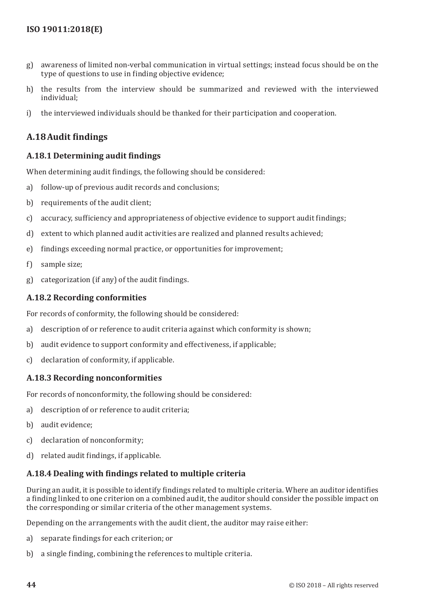- g) awareness of limited non-verbal communication in virtual settings; instead focus should be on the type of questions to use in finding objective evidence;
- h) the results from the interview should be summarized and reviewed with the interviewed individual;
- i) the interviewed individuals should be thanked for their participation and cooperation.

# <span id="page-51-0"></span>**A.18 Audit findings**

## **A.18.1 Determining audit findings**

When determining audit findings, the following should be considered:

- a) follow-up of previous audit records and conclusions;
- b) requirements of the audit client:
- c) accuracy, sufficiency and appropriateness of objective evidence to support audit findings;
- d) extent to which planned audit activities are realized and planned results achieved;
- e) findings exceeding normal practice, or opportunities for improvement;
- f) sample size;
- g) categorization (if any) of the audit findings.

## **A.18.2 Recording conformities**

For records of conformity, the following should be considered:

- a) description of or reference to audit criteria against which conformity is shown;
- b) audit evidence to support conformity and effectiveness, if applicable:
- c) declaration of conformity, if applicable.

## **A.18.3 Recording nonconformities**

For records of nonconformity, the following should be considered:

- a) description of or reference to audit criteria;
- b) audit evidence;
- c) declaration of nonconformity;
- d) related audit findings, if applicable.

# **A.18.4 Dealing with findings related to multiple criteria**

During an audit, it is possible to identify findings related to multiple criteria. Where an auditor identifies a finding linked to one criterion on a combined audit, the auditor should consider the possible impact on the corresponding or similar criteria of the other management systems.

Depending on the arrangements with the audit client, the auditor may raise either:

- a) separate findings for each criterion; or
- b) a single finding, combining the references to multiple criteria.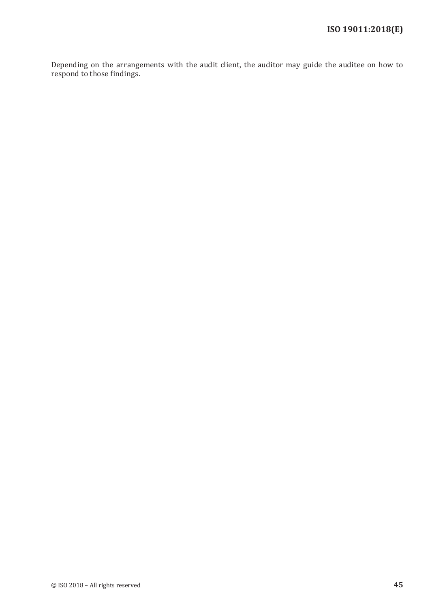Depending on the arrangements with the audit client, the auditor may guide the auditee on how to respond to those findings.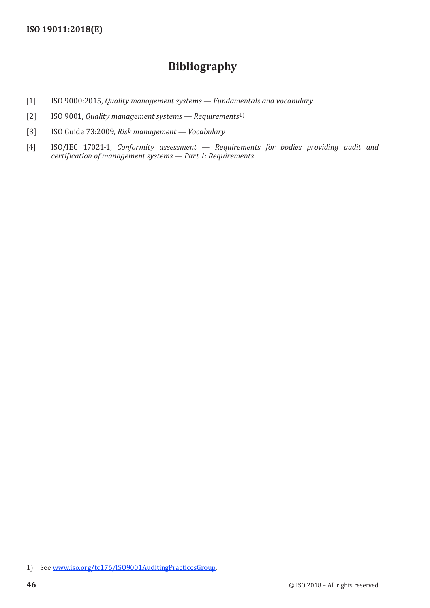# **Bibliography**

- <span id="page-53-0"></span>[1] ISO 9000:2015, *Quality management systems — Fundamentals and vocabulary*
- [2] ISO 9001, *Quality management systems Requirements*1)
- [3] ISO Guide 73:2009, *Risk management Vocabulary*
- [4] ISO/IEC 17021-1, *Conformity assessment Requirements for bodies providing audit and certification of management systems — Part 1: Requirements*

<sup>1)</sup> See www.iso[.org/tc176/ISO9001AuditingPracticesGroup](http://www.iso.org/tc176/ISO9001AuditingPracticesGroup).